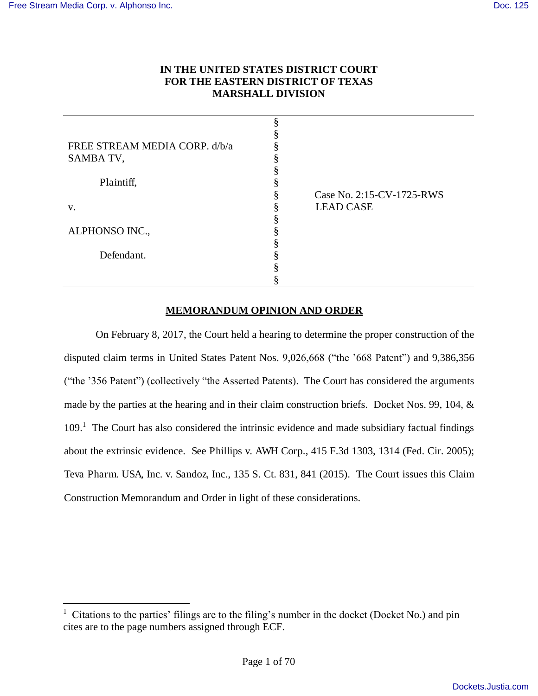$\overline{a}$ 

## **IN THE UNITED STATES DISTRICT COURT FOR THE EASTERN DISTRICT OF TEXAS MARSHALL DIVISION**

| Case No. 2:15-CV-1725-RWS |
|---------------------------|
| <b>LEAD CASE</b>          |
|                           |
|                           |
|                           |
|                           |
|                           |
|                           |
|                           |

## **MEMORANDUM OPINION AND ORDER**

On February 8, 2017, the Court held a hearing to determine the proper construction of the disputed claim terms in United States Patent Nos. 9,026,668 ("the '668 Patent") and 9,386,356 ("the '356 Patent") (collectively "the Asserted Patents). The Court has considered the arguments made by the parties at the hearing and in their claim construction briefs. Docket Nos. 99, 104, & 109.<sup>1</sup> The Court has also considered the intrinsic evidence and made subsidiary factual findings about the extrinsic evidence. See Phillips v. AWH Corp., 415 F.3d 1303, 1314 (Fed. Cir. 2005); Teva Pharm. USA, Inc. v. Sandoz, Inc., 135 S. Ct. 831, 841 (2015). The Court issues this Claim Construction Memorandum and Order in light of these considerations.

<sup>&</sup>lt;sup>1</sup> Citations to the parties' filings are to the filing's number in the docket (Docket No.) and pin cites are to the page numbers assigned through ECF.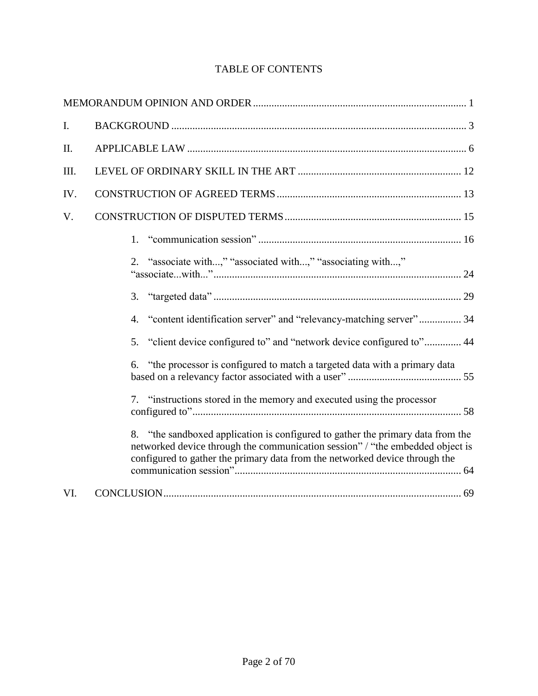| I.   |                                                                                                                                                                                                                                                 |
|------|-------------------------------------------------------------------------------------------------------------------------------------------------------------------------------------------------------------------------------------------------|
| II.  |                                                                                                                                                                                                                                                 |
| III. |                                                                                                                                                                                                                                                 |
| IV.  |                                                                                                                                                                                                                                                 |
| V.   |                                                                                                                                                                                                                                                 |
|      | 1.                                                                                                                                                                                                                                              |
|      | 2. "associate with," "associated with," "associating with,"                                                                                                                                                                                     |
|      | 3.                                                                                                                                                                                                                                              |
|      | "content identification server" and "relevancy-matching server" 34<br>4.                                                                                                                                                                        |
|      | "client device configured to" and "network device configured to" 44<br>5.                                                                                                                                                                       |
|      | 6. "the processor is configured to match a targeted data with a primary data                                                                                                                                                                    |
|      | 7. "instructions stored in the memory and executed using the processor                                                                                                                                                                          |
|      | 8. "the sandboxed application is configured to gather the primary data from the<br>networked device through the communication session" / "the embedded object is<br>configured to gather the primary data from the networked device through the |
| VI.  |                                                                                                                                                                                                                                                 |

## TABLE OF CONTENTS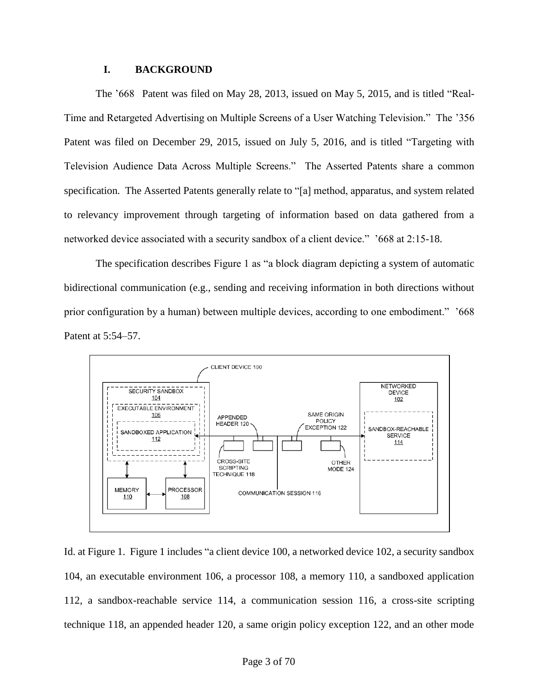#### **I. BACKGROUND**

The '668 Patent was filed on May 28, 2013, issued on May 5, 2015, and is titled "Real-Time and Retargeted Advertising on Multiple Screens of a User Watching Television." The '356 Patent was filed on December 29, 2015, issued on July 5, 2016, and is titled "Targeting with Television Audience Data Across Multiple Screens." The Asserted Patents share a common specification. The Asserted Patents generally relate to "[a] method, apparatus, and system related to relevancy improvement through targeting of information based on data gathered from a networked device associated with a security sandbox of a client device." '668 at 2:15-18.

The specification describes Figure 1 as "a block diagram depicting a system of automatic bidirectional communication (e.g., sending and receiving information in both directions without prior configuration by a human) between multiple devices, according to one embodiment." '668 Patent at 5:54–57.



Id. at Figure 1. Figure 1 includes "a client device 100, a networked device 102, a security sandbox 104, an executable environment 106, a processor 108, a memory 110, a sandboxed application 112, a sandbox-reachable service 114, a communication session 116, a cross-site scripting technique 118, an appended header 120, a same origin policy exception 122, and an other mode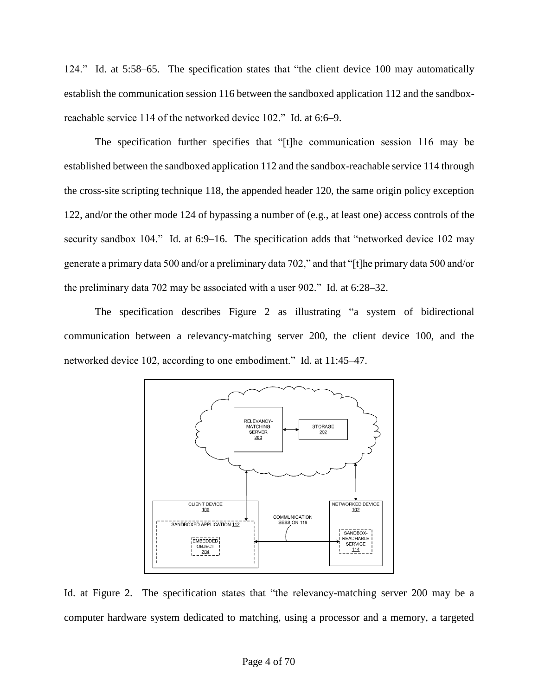124." Id. at 5:58–65. The specification states that "the client device 100 may automatically establish the communication session 116 between the sandboxed application 112 and the sandboxreachable service 114 of the networked device 102." Id. at 6:6–9.

The specification further specifies that "[t]he communication session 116 may be established between the sandboxed application 112 and the sandbox-reachable service 114 through the cross-site scripting technique 118, the appended header 120, the same origin policy exception 122, and/or the other mode 124 of bypassing a number of (e.g., at least one) access controls of the security sandbox 104." Id. at 6:9–16. The specification adds that "networked device 102 may generate a primary data 500 and/or a preliminary data 702," and that "[t]he primary data 500 and/or the preliminary data 702 may be associated with a user 902." Id. at 6:28–32.

The specification describes Figure 2 as illustrating "a system of bidirectional communication between a relevancy-matching server 200, the client device 100, and the networked device 102, according to one embodiment." Id. at 11:45–47.



Id. at Figure 2. The specification states that "the relevancy-matching server 200 may be a computer hardware system dedicated to matching, using a processor and a memory, a targeted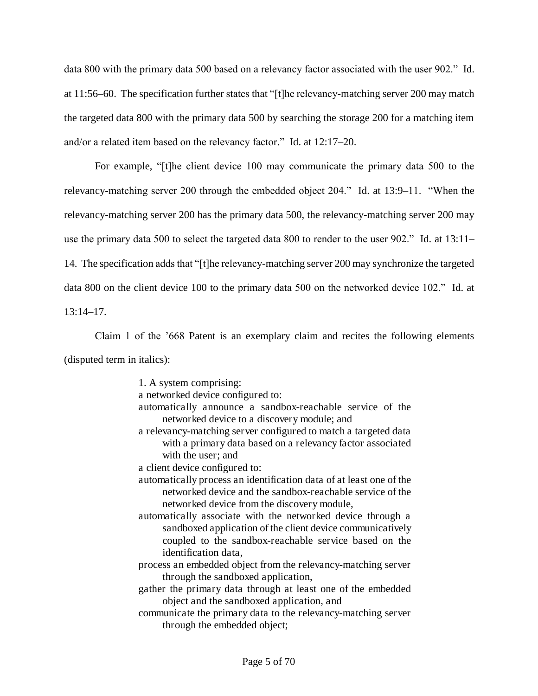data 800 with the primary data 500 based on a relevancy factor associated with the user 902." Id. at 11:56–60. The specification further states that "[t]he relevancy-matching server 200 may match the targeted data 800 with the primary data 500 by searching the storage 200 for a matching item and/or a related item based on the relevancy factor." Id. at 12:17–20.

For example, "[t]he client device 100 may communicate the primary data 500 to the relevancy-matching server 200 through the embedded object 204." Id. at 13:9–11. "When the relevancy-matching server 200 has the primary data 500, the relevancy-matching server 200 may use the primary data 500 to select the targeted data 800 to render to the user 902." Id. at 13:11– 14. The specification adds that "[t]he relevancy-matching server 200 may synchronize the targeted data 800 on the client device 100 to the primary data 500 on the networked device 102." Id. at  $13:14-17$ .

Claim 1 of the '668 Patent is an exemplary claim and recites the following elements (disputed term in italics):

1. A system comprising:

- a networked device configured to:
- automatically announce a sandbox-reachable service of the networked device to a discovery module; and
- a relevancy-matching server configured to match a targeted data with a primary data based on a relevancy factor associated with the user; and
- a client device configured to:
- automatically process an identification data of at least one of the networked device and the sandbox-reachable service of the networked device from the discovery module,
- automatically associate with the networked device through a sandboxed application of the client device communicatively coupled to the sandbox-reachable service based on the identification data,
- process an embedded object from the relevancy-matching server through the sandboxed application,
- gather the primary data through at least one of the embedded object and the sandboxed application, and
- communicate the primary data to the relevancy-matching server through the embedded object;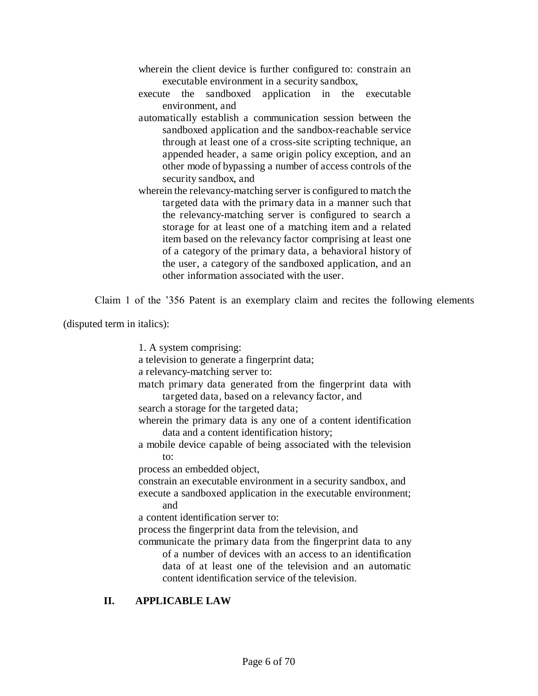- wherein the client device is further configured to: constrain an executable environment in a security sandbox,
- execute the sandboxed application in the executable environment, and
- automatically establish a communication session between the sandboxed application and the sandbox-reachable service through at least one of a cross-site scripting technique, an appended header, a same origin policy exception, and an other mode of bypassing a number of access controls of the security sandbox, and
- wherein the relevancy-matching server is configured to match the targeted data with the primary data in a manner such that the relevancy-matching server is configured to search a storage for at least one of a matching item and a related item based on the relevancy factor comprising at least one of a category of the primary data, a behavioral history of the user, a category of the sandboxed application, and an other information associated with the user.

Claim 1 of the '356 Patent is an exemplary claim and recites the following elements

(disputed term in italics):

1. A system comprising: a television to generate a fingerprint data; a relevancy-matching server to: match primary data generated from the fingerprint data with targeted data, based on a relevancy factor, and search a storage for the targeted data; wherein the primary data is any one of a content identification data and a content identification history; a mobile device capable of being associated with the television to: process an embedded object, constrain an executable environment in a security sandbox, and execute a sandboxed application in the executable environment; and a content identification server to: process the fingerprint data from the television, and communicate the primary data from the fingerprint data to any of a number of devices with an access to an identification data of at least one of the television and an automatic content identification service of the television.

## **II. APPLICABLE LAW**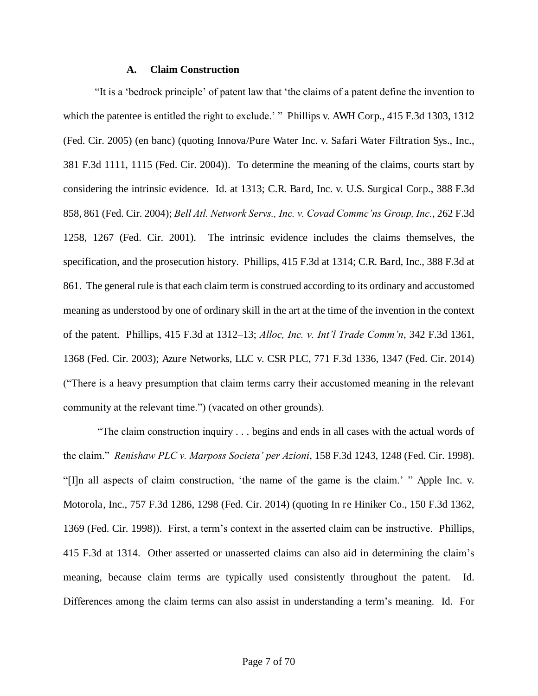#### **A. Claim Construction**

"It is a 'bedrock principle' of patent law that 'the claims of a patent define the invention to which the patentee is entitled the right to exclude.' " Phillips v. AWH Corp., 415 F.3d 1303, 1312 (Fed. Cir. 2005) (en banc) (quoting Innova/Pure Water Inc. v. Safari Water Filtration Sys., Inc., 381 F.3d 1111, 1115 (Fed. Cir. 2004)). To determine the meaning of the claims, courts start by considering the intrinsic evidence. Id. at 1313; C.R. Bard, Inc. v. U.S. Surgical Corp., 388 F.3d 858, 861 (Fed. Cir. 2004); *Bell Atl. Network Servs., Inc. v. Covad Commc'ns Group, Inc.*, 262 F.3d 1258, 1267 (Fed. Cir. 2001). The intrinsic evidence includes the claims themselves, the specification, and the prosecution history. Phillips, 415 F.3d at 1314; C.R. Bard, Inc., 388 F.3d at 861. The general rule is that each claim term is construed according to its ordinary and accustomed meaning as understood by one of ordinary skill in the art at the time of the invention in the context of the patent. Phillips, 415 F.3d at 1312–13; *Alloc, Inc. v. Int'l Trade Comm'n*, 342 F.3d 1361, 1368 (Fed. Cir. 2003); Azure Networks, LLC v. CSR PLC, 771 F.3d 1336, 1347 (Fed. Cir. 2014) ("There is a heavy presumption that claim terms carry their accustomed meaning in the relevant community at the relevant time.") (vacated on other grounds).

"The claim construction inquiry . . . begins and ends in all cases with the actual words of the claim." *Renishaw PLC v. Marposs Societa' per Azioni*, 158 F.3d 1243, 1248 (Fed. Cir. 1998). "[I]n all aspects of claim construction, 'the name of the game is the claim.' " Apple Inc. v. Motorola, Inc., 757 F.3d 1286, 1298 (Fed. Cir. 2014) (quoting In re Hiniker Co., 150 F.3d 1362, 1369 (Fed. Cir. 1998)). First, a term's context in the asserted claim can be instructive. Phillips, 415 F.3d at 1314. Other asserted or unasserted claims can also aid in determining the claim's meaning, because claim terms are typically used consistently throughout the patent. Id. Differences among the claim terms can also assist in understanding a term's meaning. Id. For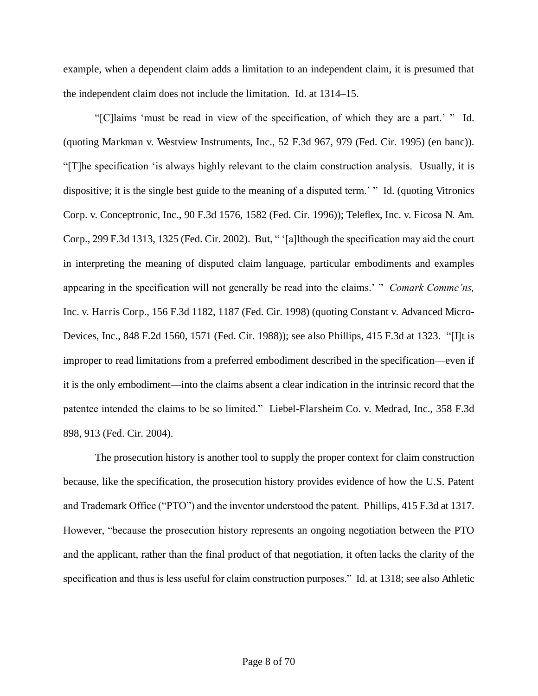example, when a dependent claim adds a limitation to an independent claim, it is presumed that the independent claim does not include the limitation. Id. at 1314–15.

"[C]laims 'must be read in view of the specification, of which they are a part.' " Id. (quoting Markman v. Westview Instruments, Inc., 52 F.3d 967, 979 (Fed. Cir. 1995) (en banc)). "[T]he specification 'is always highly relevant to the claim construction analysis. Usually, it is dispositive; it is the single best guide to the meaning of a disputed term.' " Id. (quoting Vitronics Corp. v. Conceptronic, Inc., 90 F.3d 1576, 1582 (Fed. Cir. 1996)); Teleflex, Inc. v. Ficosa N. Am. Corp., 299 F.3d 1313, 1325 (Fed. Cir. 2002). But, " '[a]lthough the specification may aid the court in interpreting the meaning of disputed claim language, particular embodiments and examples appearing in the specification will not generally be read into the claims.' " *Comark Commc'ns,*  Inc. v. Harris Corp., 156 F.3d 1182, 1187 (Fed. Cir. 1998) (quoting Constant v. Advanced Micro-Devices, Inc., 848 F.2d 1560, 1571 (Fed. Cir. 1988)); see also Phillips, 415 F.3d at 1323. "[I]t is improper to read limitations from a preferred embodiment described in the specification—even if it is the only embodiment—into the claims absent a clear indication in the intrinsic record that the patentee intended the claims to be so limited." Liebel-Flarsheim Co. v. Medrad, Inc., 358 F.3d 898, 913 (Fed. Cir. 2004).

The prosecution history is another tool to supply the proper context for claim construction because, like the specification, the prosecution history provides evidence of how the U.S. Patent and Trademark Office ("PTO") and the inventor understood the patent. Phillips, 415 F.3d at 1317. However, "because the prosecution history represents an ongoing negotiation between the PTO and the applicant, rather than the final product of that negotiation, it often lacks the clarity of the specification and thus is less useful for claim construction purposes." Id. at 1318; see also Athletic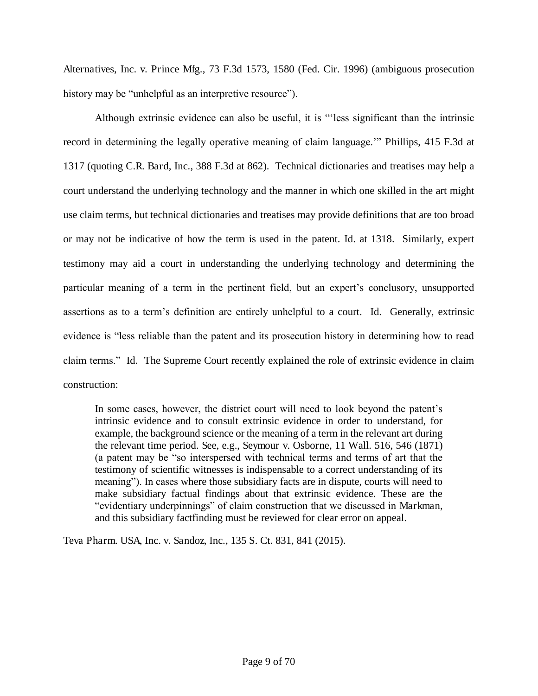Alternatives, Inc. v. Prince Mfg., 73 F.3d 1573, 1580 (Fed. Cir. 1996) (ambiguous prosecution history may be "unhelpful as an interpretive resource").

Although extrinsic evidence can also be useful, it is "'less significant than the intrinsic record in determining the legally operative meaning of claim language.'" Phillips, 415 F.3d at 1317 (quoting C.R. Bard, Inc., 388 F.3d at 862). Technical dictionaries and treatises may help a court understand the underlying technology and the manner in which one skilled in the art might use claim terms, but technical dictionaries and treatises may provide definitions that are too broad or may not be indicative of how the term is used in the patent. Id. at 1318. Similarly, expert testimony may aid a court in understanding the underlying technology and determining the particular meaning of a term in the pertinent field, but an expert's conclusory, unsupported assertions as to a term's definition are entirely unhelpful to a court. Id. Generally, extrinsic evidence is "less reliable than the patent and its prosecution history in determining how to read claim terms." Id. The Supreme Court recently explained the role of extrinsic evidence in claim construction:

In some cases, however, the district court will need to look beyond the patent's intrinsic evidence and to consult extrinsic evidence in order to understand, for example, the background science or the meaning of a term in the relevant art during the relevant time period. See, e.g., Seymour v. Osborne, 11 Wall. 516, 546 (1871) (a patent may be "so interspersed with technical terms and terms of art that the testimony of scientific witnesses is indispensable to a correct understanding of its meaning"). In cases where those subsidiary facts are in dispute, courts will need to make subsidiary factual findings about that extrinsic evidence. These are the "evidentiary underpinnings" of claim construction that we discussed in Markman, and this subsidiary factfinding must be reviewed for clear error on appeal.

Teva Pharm. USA, Inc. v. Sandoz, Inc., 135 S. Ct. 831, 841 (2015).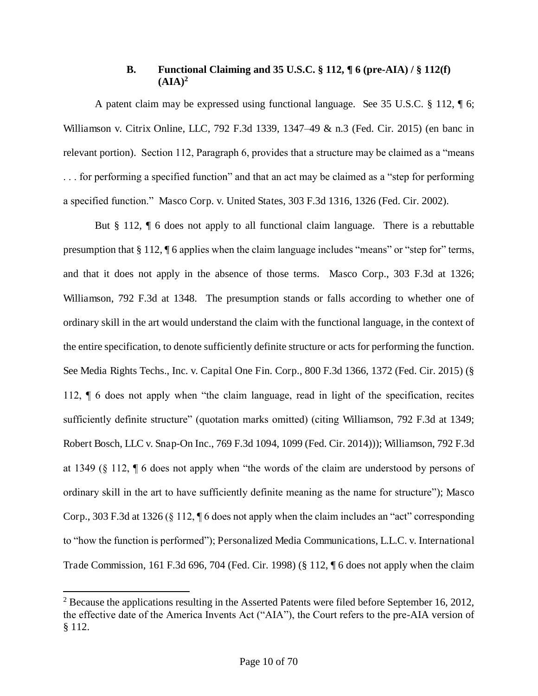## **B. Functional Claiming and 35 U.S.C. § 112, ¶ 6 (pre-AIA) / § 112(f)**   $(AIA)^2$

A patent claim may be expressed using functional language. See 35 U.S.C. § 112, ¶ 6; Williamson v. Citrix Online, LLC, 792 F.3d 1339, 1347–49 & n.3 (Fed. Cir. 2015) (en banc in relevant portion). Section 112, Paragraph 6, provides that a structure may be claimed as a "means . . . for performing a specified function" and that an act may be claimed as a "step for performing a specified function." Masco Corp. v. United States, 303 F.3d 1316, 1326 (Fed. Cir. 2002).

But § 112, ¶ 6 does not apply to all functional claim language. There is a rebuttable presumption that § 112, ¶ 6 applies when the claim language includes "means" or "step for" terms, and that it does not apply in the absence of those terms. Masco Corp., 303 F.3d at 1326; Williamson, 792 F.3d at 1348. The presumption stands or falls according to whether one of ordinary skill in the art would understand the claim with the functional language, in the context of the entire specification, to denote sufficiently definite structure or acts for performing the function. See Media Rights Techs., Inc. v. Capital One Fin. Corp., 800 F.3d 1366, 1372 (Fed. Cir. 2015) (§ 112, ¶ 6 does not apply when "the claim language, read in light of the specification, recites sufficiently definite structure" (quotation marks omitted) (citing Williamson, 792 F.3d at 1349; Robert Bosch, LLC v. Snap-On Inc., 769 F.3d 1094, 1099 (Fed. Cir. 2014))); Williamson, 792 F.3d at 1349 (§ 112, ¶ 6 does not apply when "the words of the claim are understood by persons of ordinary skill in the art to have sufficiently definite meaning as the name for structure"); Masco Corp., 303 F.3d at 1326 (§ 112, ¶ 6 does not apply when the claim includes an "act" corresponding to "how the function is performed"); Personalized Media Communications, L.L.C. v. International Trade Commission, 161 F.3d 696, 704 (Fed. Cir. 1998) (§ 112, ¶ 6 does not apply when the claim

l

 $2^2$  Because the applications resulting in the Asserted Patents were filed before September 16, 2012, the effective date of the America Invents Act ("AIA"), the Court refers to the pre-AIA version of § 112.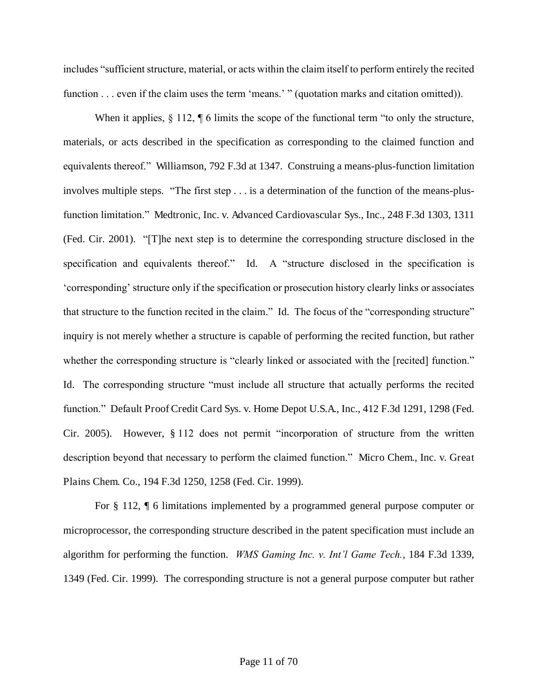includes "sufficient structure, material, or acts within the claim itself to perform entirely the recited function . . . even if the claim uses the term 'means.' " (quotation marks and citation omitted)).

When it applies,  $\S 112$ ,  $\P 6$  limits the scope of the functional term "to only the structure, materials, or acts described in the specification as corresponding to the claimed function and equivalents thereof." Williamson, 792 F.3d at 1347. Construing a means-plus-function limitation involves multiple steps. "The first step . . . is a determination of the function of the means-plusfunction limitation." Medtronic, Inc. v. Advanced Cardiovascular Sys., Inc., 248 F.3d 1303, 1311 (Fed. Cir. 2001). "[T]he next step is to determine the corresponding structure disclosed in the specification and equivalents thereof." Id. A "structure disclosed in the specification is 'corresponding' structure only if the specification or prosecution history clearly links or associates that structure to the function recited in the claim." Id. The focus of the "corresponding structure" inquiry is not merely whether a structure is capable of performing the recited function, but rather whether the corresponding structure is "clearly linked or associated with the [recited] function." Id. The corresponding structure "must include all structure that actually performs the recited function." Default Proof Credit Card Sys. v. Home Depot U.S.A., Inc., 412 F.3d 1291, 1298 (Fed. Cir. 2005). However, § 112 does not permit "incorporation of structure from the written description beyond that necessary to perform the claimed function." Micro Chem., Inc. v. Great Plains Chem. Co., 194 F.3d 1250, 1258 (Fed. Cir. 1999).

For § 112, ¶ 6 limitations implemented by a programmed general purpose computer or microprocessor, the corresponding structure described in the patent specification must include an algorithm for performing the function. *WMS Gaming Inc. v. Int'l Game Tech.*, 184 F.3d 1339, 1349 (Fed. Cir. 1999). The corresponding structure is not a general purpose computer but rather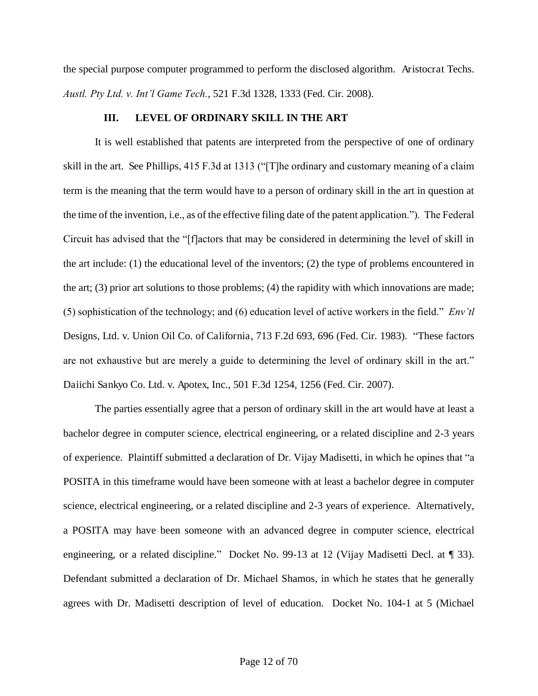the special purpose computer programmed to perform the disclosed algorithm. Aristocrat Techs. *Austl. Pty Ltd. v. Int'l Game Tech.*, 521 F.3d 1328, 1333 (Fed. Cir. 2008).

### **III. LEVEL OF ORDINARY SKILL IN THE ART**

It is well established that patents are interpreted from the perspective of one of ordinary skill in the art. See Phillips, 415 F.3d at 1313 ("[T]he ordinary and customary meaning of a claim term is the meaning that the term would have to a person of ordinary skill in the art in question at the time of the invention, i.e., as of the effective filing date of the patent application."). The Federal Circuit has advised that the "[f]actors that may be considered in determining the level of skill in the art include: (1) the educational level of the inventors; (2) the type of problems encountered in the art; (3) prior art solutions to those problems; (4) the rapidity with which innovations are made; (5) sophistication of the technology; and (6) education level of active workers in the field." *Env'tl*  Designs, Ltd. v. Union Oil Co. of California, 713 F.2d 693, 696 (Fed. Cir. 1983). "These factors are not exhaustive but are merely a guide to determining the level of ordinary skill in the art." Daiichi Sankyo Co. Ltd. v. Apotex, Inc., 501 F.3d 1254, 1256 (Fed. Cir. 2007).

The parties essentially agree that a person of ordinary skill in the art would have at least a bachelor degree in computer science, electrical engineering, or a related discipline and 2-3 years of experience. Plaintiff submitted a declaration of Dr. Vijay Madisetti, in which he opines that "a POSITA in this timeframe would have been someone with at least a bachelor degree in computer science, electrical engineering, or a related discipline and 2-3 years of experience. Alternatively, a POSITA may have been someone with an advanced degree in computer science, electrical engineering, or a related discipline." Docket No. 99-13 at 12 (Vijay Madisetti Decl. at ¶ 33). Defendant submitted a declaration of Dr. Michael Shamos, in which he states that he generally agrees with Dr. Madisetti description of level of education. Docket No. 104-1 at 5 (Michael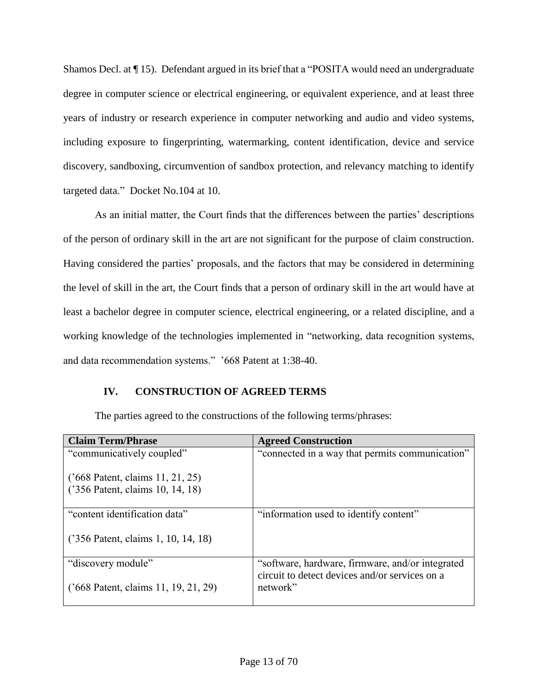Shamos Decl. at ¶ 15). Defendant argued in its brief that a "POSITA would need an undergraduate degree in computer science or electrical engineering, or equivalent experience, and at least three years of industry or research experience in computer networking and audio and video systems, including exposure to fingerprinting, watermarking, content identification, device and service discovery, sandboxing, circumvention of sandbox protection, and relevancy matching to identify targeted data." Docket No.104 at 10.

As an initial matter, the Court finds that the differences between the parties' descriptions of the person of ordinary skill in the art are not significant for the purpose of claim construction. Having considered the parties' proposals, and the factors that may be considered in determining the level of skill in the art, the Court finds that a person of ordinary skill in the art would have at least a bachelor degree in computer science, electrical engineering, or a related discipline, and a working knowledge of the technologies implemented in "networking, data recognition systems, and data recommendation systems." '668 Patent at 1:38-40.

## **IV. CONSTRUCTION OF AGREED TERMS**

| <b>Claim Term/Phrase</b>                                             | <b>Agreed Construction</b>                                                                         |
|----------------------------------------------------------------------|----------------------------------------------------------------------------------------------------|
| "communicatively coupled"                                            | "connected in a way that permits communication"                                                    |
| ('668 Patent, claims 11, 21, 25)<br>('356 Patent, claims 10, 14, 18) |                                                                                                    |
| "content identification data"                                        | "information used to identify content"                                                             |
| ('356 Patent, claims 1, 10, 14, 18)                                  |                                                                                                    |
| "discovery module"                                                   | "software, hardware, firmware, and/or integrated<br>circuit to detect devices and/or services on a |
| ('668 Patent, claims 11, 19, 21, 29)                                 | network"                                                                                           |

The parties agreed to the constructions of the following terms/phrases: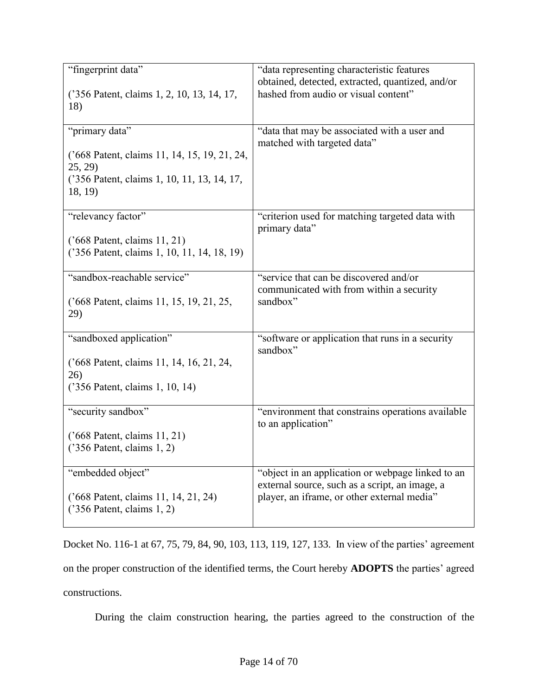| "fingerprint data"<br>('356 Patent, claims 1, 2, 10, 13, 14, 17,                | "data representing characteristic features<br>obtained, detected, extracted, quantized, and/or<br>hashed from audio or visual content" |
|---------------------------------------------------------------------------------|----------------------------------------------------------------------------------------------------------------------------------------|
| 18)                                                                             |                                                                                                                                        |
| "primary data"                                                                  | "data that may be associated with a user and<br>matched with targeted data"                                                            |
| ('668 Patent, claims 11, 14, 15, 19, 21, 24,<br>25, 29                          |                                                                                                                                        |
| ('356 Patent, claims 1, 10, 11, 13, 14, 17,<br>18, 19)                          |                                                                                                                                        |
| "relevancy factor"                                                              | "criterion used for matching targeted data with<br>primary data"                                                                       |
| $('668$ Patent, claims $11, 21)$<br>('356 Patent, claims 1, 10, 11, 14, 18, 19) |                                                                                                                                        |
| "sandbox-reachable service"                                                     | "service that can be discovered and/or<br>communicated with from within a security                                                     |
| ('668 Patent, claims 11, 15, 19, 21, 25,<br>29)                                 | sandbox"                                                                                                                               |
| "sandboxed application"                                                         | "software or application that runs in a security<br>sandbox"                                                                           |
| ('668 Patent, claims 11, 14, 16, 21, 24,<br>26)                                 |                                                                                                                                        |
| ('356 Patent, claims 1, 10, 14)                                                 |                                                                                                                                        |
| "security sandbox"                                                              | "environment that constrains operations available<br>to an application"                                                                |
| ('668 Patent, claims 11, 21)<br>$('356$ Patent, claims $1, 2)$                  |                                                                                                                                        |
| "embedded object"                                                               | "object in an application or webpage linked to an<br>external source, such as a script, an image, a                                    |
| ('668 Patent, claims 11, 14, 21, 24)<br>$('356$ Patent, claims 1, 2)            | player, an iframe, or other external media"                                                                                            |

Docket No. 116-1 at 67, 75, 79, 84, 90, 103, 113, 119, 127, 133. In view of the parties' agreement on the proper construction of the identified terms, the Court hereby **ADOPTS** the parties' agreed constructions.

During the claim construction hearing, the parties agreed to the construction of the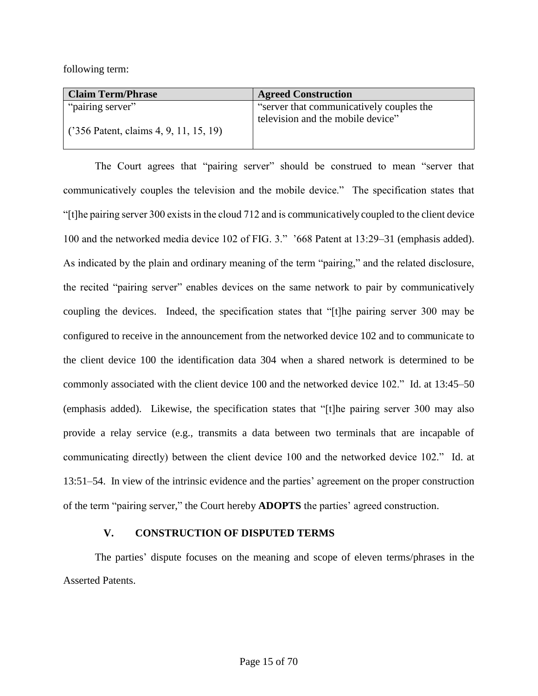following term:

| <b>Claim Term/Phrase</b>                | <b>Agreed Construction</b>               |
|-----------------------------------------|------------------------------------------|
| "pairing server"                        | "server that communicatively couples the |
| $(356$ Patent, claims 4, 9, 11, 15, 19) | television and the mobile device"        |
|                                         |                                          |

The Court agrees that "pairing server" should be construed to mean "server that communicatively couples the television and the mobile device." The specification states that "[t]he pairing server 300 exists in the cloud 712 and is communicatively coupled to the client device 100 and the networked media device 102 of FIG. 3." '668 Patent at 13:29–31 (emphasis added). As indicated by the plain and ordinary meaning of the term "pairing," and the related disclosure, the recited "pairing server" enables devices on the same network to pair by communicatively coupling the devices. Indeed, the specification states that "[t]he pairing server 300 may be configured to receive in the announcement from the networked device 102 and to communicate to the client device 100 the identification data 304 when a shared network is determined to be commonly associated with the client device 100 and the networked device 102." Id. at 13:45–50 (emphasis added). Likewise, the specification states that "[t]he pairing server 300 may also provide a relay service (e.g., transmits a data between two terminals that are incapable of communicating directly) between the client device 100 and the networked device 102." Id. at 13:51–54. In view of the intrinsic evidence and the parties' agreement on the proper construction of the term "pairing server," the Court hereby **ADOPTS** the parties' agreed construction.

#### **V. CONSTRUCTION OF DISPUTED TERMS**

The parties' dispute focuses on the meaning and scope of eleven terms/phrases in the Asserted Patents.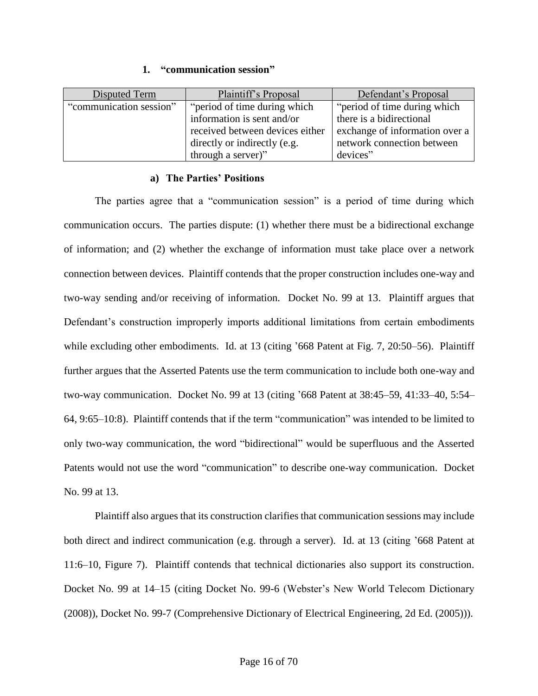#### **1. "communication session"**

| Disputed Term           | Plaintiff's Proposal            | Defendant's Proposal           |
|-------------------------|---------------------------------|--------------------------------|
| "communication session" | "period of time during which"   | "period of time during which"  |
|                         | information is sent and/or      | there is a bidirectional       |
|                         | received between devices either | exchange of information over a |
|                         | directly or indirectly (e.g.    | network connection between     |
|                         | through a server)"              | devices"                       |

#### **a) The Parties' Positions**

The parties agree that a "communication session" is a period of time during which communication occurs. The parties dispute: (1) whether there must be a bidirectional exchange of information; and (2) whether the exchange of information must take place over a network connection between devices. Plaintiff contends that the proper construction includes one-way and two-way sending and/or receiving of information. Docket No. 99 at 13. Plaintiff argues that Defendant's construction improperly imports additional limitations from certain embodiments while excluding other embodiments. Id. at 13 (citing '668 Patent at Fig. 7, 20:50–56). Plaintiff further argues that the Asserted Patents use the term communication to include both one-way and two-way communication. Docket No. 99 at 13 (citing '668 Patent at 38:45–59, 41:33–40, 5:54– 64, 9:65–10:8). Plaintiff contends that if the term "communication" was intended to be limited to only two-way communication, the word "bidirectional" would be superfluous and the Asserted Patents would not use the word "communication" to describe one-way communication. Docket No. 99 at 13.

Plaintiff also argues that its construction clarifies that communication sessions may include both direct and indirect communication (e.g. through a server). Id. at 13 (citing '668 Patent at 11:6–10, Figure 7). Plaintiff contends that technical dictionaries also support its construction. Docket No. 99 at 14–15 (citing Docket No. 99-6 (Webster's New World Telecom Dictionary (2008)), Docket No. 99-7 (Comprehensive Dictionary of Electrical Engineering, 2d Ed. (2005))).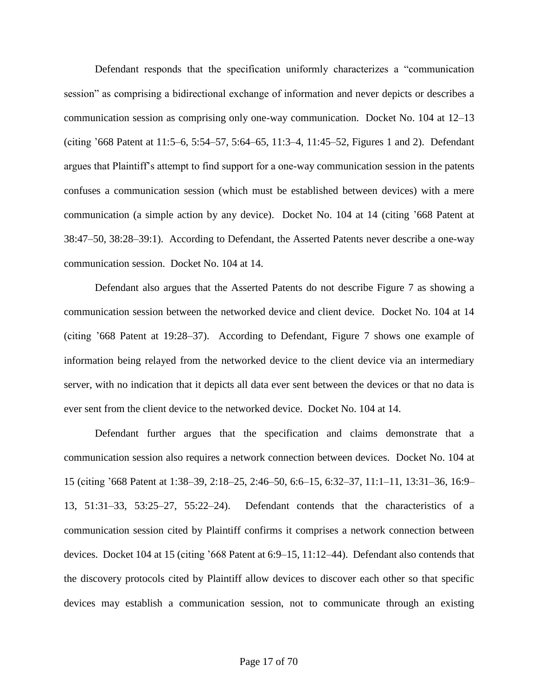Defendant responds that the specification uniformly characterizes a "communication session" as comprising a bidirectional exchange of information and never depicts or describes a communication session as comprising only one-way communication. Docket No. 104 at 12–13 (citing '668 Patent at 11:5–6, 5:54–57, 5:64–65, 11:3–4, 11:45–52, Figures 1 and 2). Defendant argues that Plaintiff's attempt to find support for a one-way communication session in the patents confuses a communication session (which must be established between devices) with a mere communication (a simple action by any device). Docket No. 104 at 14 (citing '668 Patent at 38:47–50, 38:28–39:1). According to Defendant, the Asserted Patents never describe a one-way communication session. Docket No. 104 at 14.

Defendant also argues that the Asserted Patents do not describe Figure 7 as showing a communication session between the networked device and client device. Docket No. 104 at 14 (citing '668 Patent at 19:28–37). According to Defendant, Figure 7 shows one example of information being relayed from the networked device to the client device via an intermediary server, with no indication that it depicts all data ever sent between the devices or that no data is ever sent from the client device to the networked device. Docket No. 104 at 14.

Defendant further argues that the specification and claims demonstrate that a communication session also requires a network connection between devices. Docket No. 104 at 15 (citing '668 Patent at 1:38–39, 2:18–25, 2:46–50, 6:6–15, 6:32–37, 11:1–11, 13:31–36, 16:9– 13, 51:31–33, 53:25–27, 55:22–24). Defendant contends that the characteristics of a communication session cited by Plaintiff confirms it comprises a network connection between devices. Docket 104 at 15 (citing '668 Patent at 6:9–15, 11:12–44). Defendant also contends that the discovery protocols cited by Plaintiff allow devices to discover each other so that specific devices may establish a communication session, not to communicate through an existing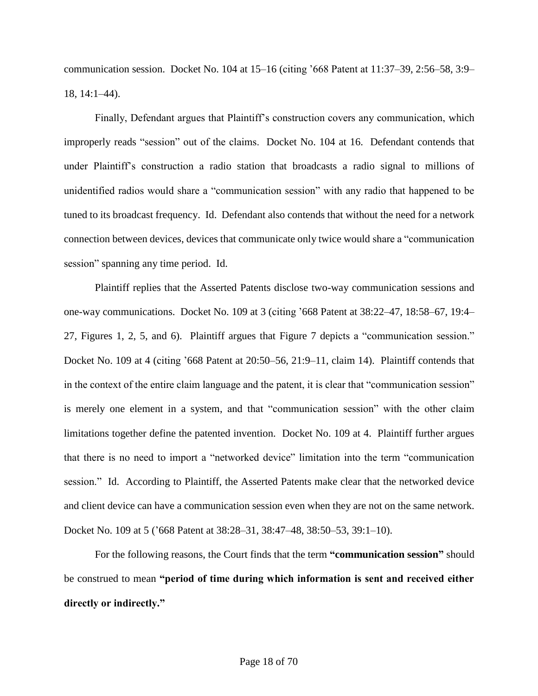communication session. Docket No. 104 at  $15-16$  (citing '668 Patent at  $11:37-39$ ,  $2:56-58$ ,  $3:9-$ 18, 14:1–44).

Finally, Defendant argues that Plaintiff's construction covers any communication, which improperly reads "session" out of the claims. Docket No. 104 at 16. Defendant contends that under Plaintiff's construction a radio station that broadcasts a radio signal to millions of unidentified radios would share a "communication session" with any radio that happened to be tuned to its broadcast frequency. Id. Defendant also contends that without the need for a network connection between devices, devices that communicate only twice would share a "communication session" spanning any time period. Id.

Plaintiff replies that the Asserted Patents disclose two-way communication sessions and one-way communications. Docket No. 109 at 3 (citing '668 Patent at 38:22–47, 18:58–67, 19:4– 27, Figures 1, 2, 5, and 6). Plaintiff argues that Figure 7 depicts a "communication session." Docket No. 109 at 4 (citing '668 Patent at 20:50–56, 21:9–11, claim 14). Plaintiff contends that in the context of the entire claim language and the patent, it is clear that "communication session" is merely one element in a system, and that "communication session" with the other claim limitations together define the patented invention. Docket No. 109 at 4. Plaintiff further argues that there is no need to import a "networked device" limitation into the term "communication session." Id. According to Plaintiff, the Asserted Patents make clear that the networked device and client device can have a communication session even when they are not on the same network. Docket No. 109 at 5 ('668 Patent at 38:28–31, 38:47–48, 38:50–53, 39:1–10).

For the following reasons, the Court finds that the term **"communication session"** should be construed to mean **"period of time during which information is sent and received either directly or indirectly."**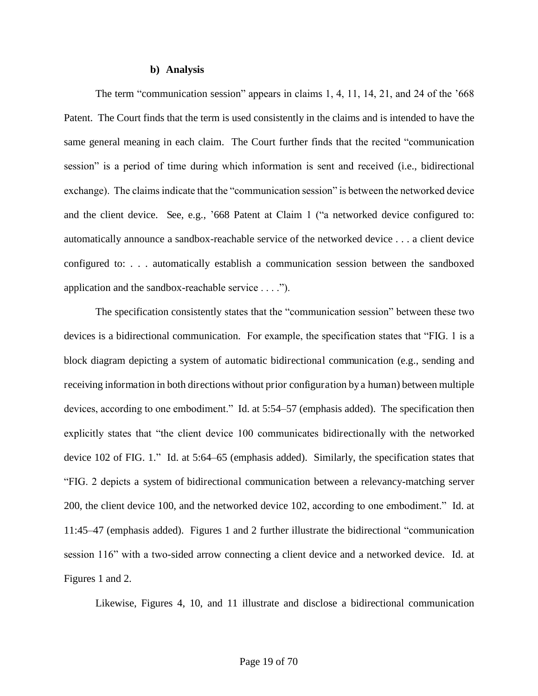#### **b) Analysis**

The term "communication session" appears in claims 1, 4, 11, 14, 21, and 24 of the '668 Patent. The Court finds that the term is used consistently in the claims and is intended to have the same general meaning in each claim. The Court further finds that the recited "communication session" is a period of time during which information is sent and received (i.e., bidirectional exchange). The claims indicate that the "communication session" is between the networked device and the client device. See, e.g., '668 Patent at Claim 1 ("a networked device configured to: automatically announce a sandbox-reachable service of the networked device . . . a client device configured to: . . . automatically establish a communication session between the sandboxed application and the sandbox-reachable service . . . .").

The specification consistently states that the "communication session" between these two devices is a bidirectional communication. For example, the specification states that "FIG. 1 is a block diagram depicting a system of automatic bidirectional communication (e.g., sending and receiving information in both directions without prior configuration by a human) between multiple devices, according to one embodiment." Id. at 5:54–57 (emphasis added). The specification then explicitly states that "the client device 100 communicates bidirectionally with the networked device 102 of FIG. 1." Id. at 5:64–65 (emphasis added). Similarly, the specification states that "FIG. 2 depicts a system of bidirectional communication between a relevancy-matching server 200, the client device 100, and the networked device 102, according to one embodiment." Id. at 11:45–47 (emphasis added). Figures 1 and 2 further illustrate the bidirectional "communication session 116" with a two-sided arrow connecting a client device and a networked device. Id. at Figures 1 and 2.

Likewise, Figures 4, 10, and 11 illustrate and disclose a bidirectional communication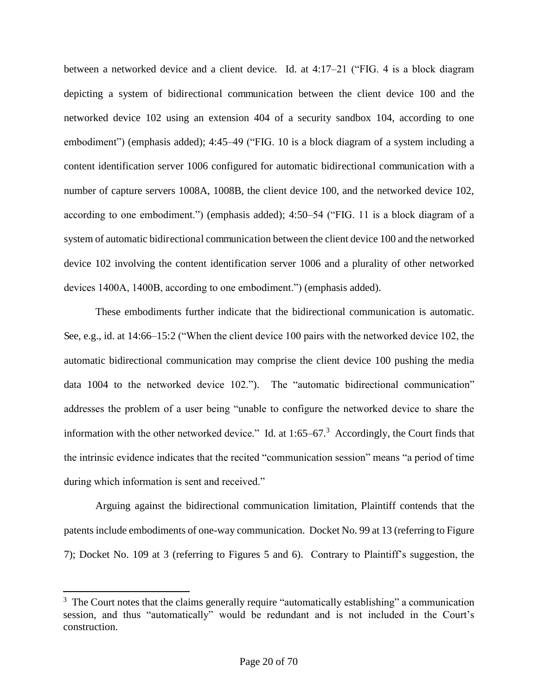between a networked device and a client device. Id. at 4:17–21 ("FIG. 4 is a block diagram depicting a system of bidirectional communication between the client device 100 and the networked device 102 using an extension 404 of a security sandbox 104, according to one embodiment") (emphasis added); 4:45–49 ("FIG. 10 is a block diagram of a system including a content identification server 1006 configured for automatic bidirectional communication with a number of capture servers 1008A, 1008B, the client device 100, and the networked device 102, according to one embodiment.") (emphasis added); 4:50–54 ("FIG. 11 is a block diagram of a system of automatic bidirectional communication between the client device 100 and the networked device 102 involving the content identification server 1006 and a plurality of other networked devices 1400A, 1400B, according to one embodiment.") (emphasis added).

These embodiments further indicate that the bidirectional communication is automatic. See, e.g., id. at 14:66–15:2 ("When the client device 100 pairs with the networked device 102, the automatic bidirectional communication may comprise the client device 100 pushing the media data 1004 to the networked device 102."). The "automatic bidirectional communication" addresses the problem of a user being "unable to configure the networked device to share the information with the other networked device." Id. at  $1:65-67$ .<sup>3</sup> Accordingly, the Court finds that the intrinsic evidence indicates that the recited "communication session" means "a period of time during which information is sent and received."

Arguing against the bidirectional communication limitation, Plaintiff contends that the patents include embodiments of one-way communication. Docket No. 99 at 13 (referring to Figure 7); Docket No. 109 at 3 (referring to Figures 5 and 6). Contrary to Plaintiff's suggestion, the

l

<sup>&</sup>lt;sup>3</sup> The Court notes that the claims generally require "automatically establishing" a communication session, and thus "automatically" would be redundant and is not included in the Court's construction.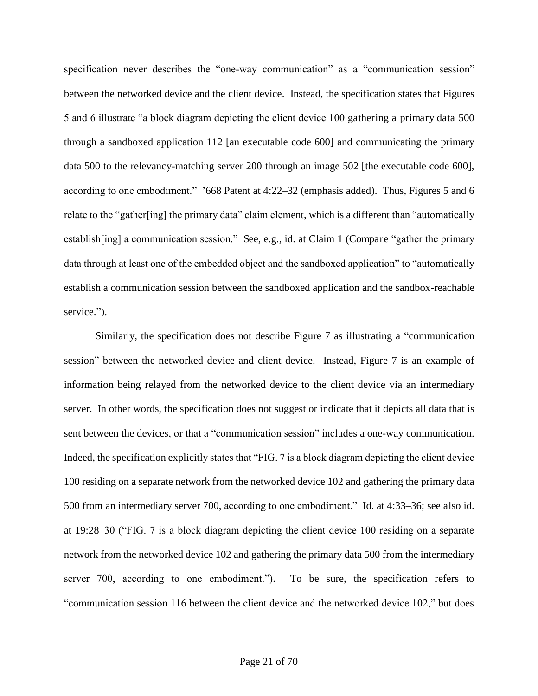specification never describes the "one-way communication" as a "communication session" between the networked device and the client device. Instead, the specification states that Figures 5 and 6 illustrate "a block diagram depicting the client device 100 gathering a primary data 500 through a sandboxed application 112 [an executable code 600] and communicating the primary data 500 to the relevancy-matching server 200 through an image 502 [the executable code 600], according to one embodiment." '668 Patent at 4:22–32 (emphasis added). Thus, Figures 5 and 6 relate to the "gather[ing] the primary data" claim element, which is a different than "automatically establish[ing] a communication session." See, e.g., id. at Claim 1 (Compare "gather the primary data through at least one of the embedded object and the sandboxed application" to "automatically establish a communication session between the sandboxed application and the sandbox-reachable service.").

Similarly, the specification does not describe Figure 7 as illustrating a "communication session" between the networked device and client device. Instead, Figure 7 is an example of information being relayed from the networked device to the client device via an intermediary server. In other words, the specification does not suggest or indicate that it depicts all data that is sent between the devices, or that a "communication session" includes a one-way communication. Indeed, the specification explicitly states that "FIG. 7 is a block diagram depicting the client device 100 residing on a separate network from the networked device 102 and gathering the primary data 500 from an intermediary server 700, according to one embodiment." Id. at 4:33–36; see also id. at 19:28–30 ("FIG. 7 is a block diagram depicting the client device 100 residing on a separate network from the networked device 102 and gathering the primary data 500 from the intermediary server 700, according to one embodiment."). To be sure, the specification refers to "communication session 116 between the client device and the networked device 102," but does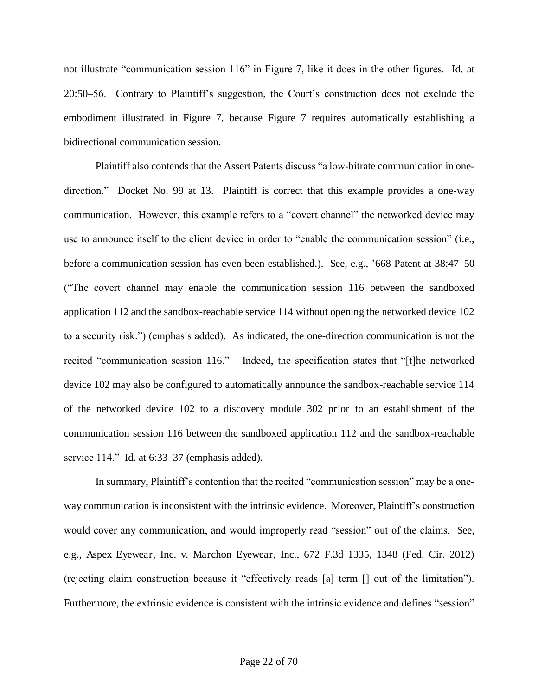not illustrate "communication session 116" in Figure 7, like it does in the other figures. Id. at 20:50–56. Contrary to Plaintiff's suggestion, the Court's construction does not exclude the embodiment illustrated in Figure 7, because Figure 7 requires automatically establishing a bidirectional communication session.

Plaintiff also contends that the Assert Patents discuss "a low-bitrate communication in onedirection." Docket No. 99 at 13. Plaintiff is correct that this example provides a one-way communication. However, this example refers to a "covert channel" the networked device may use to announce itself to the client device in order to "enable the communication session" (i.e., before a communication session has even been established.). See, e.g., '668 Patent at 38:47–50 ("The covert channel may enable the communication session 116 between the sandboxed application 112 and the sandbox-reachable service 114 without opening the networked device 102 to a security risk.") (emphasis added). As indicated, the one-direction communication is not the recited "communication session 116." Indeed, the specification states that "[t]he networked device 102 may also be configured to automatically announce the sandbox-reachable service 114 of the networked device 102 to a discovery module 302 prior to an establishment of the communication session 116 between the sandboxed application 112 and the sandbox-reachable service 114." Id. at 6:33–37 (emphasis added).

In summary, Plaintiff's contention that the recited "communication session" may be a oneway communication is inconsistent with the intrinsic evidence. Moreover, Plaintiff's construction would cover any communication, and would improperly read "session" out of the claims. See, e.g., Aspex Eyewear, Inc. v. Marchon Eyewear, Inc., 672 F.3d 1335, 1348 (Fed. Cir. 2012) (rejecting claim construction because it "effectively reads [a] term [] out of the limitation"). Furthermore, the extrinsic evidence is consistent with the intrinsic evidence and defines "session"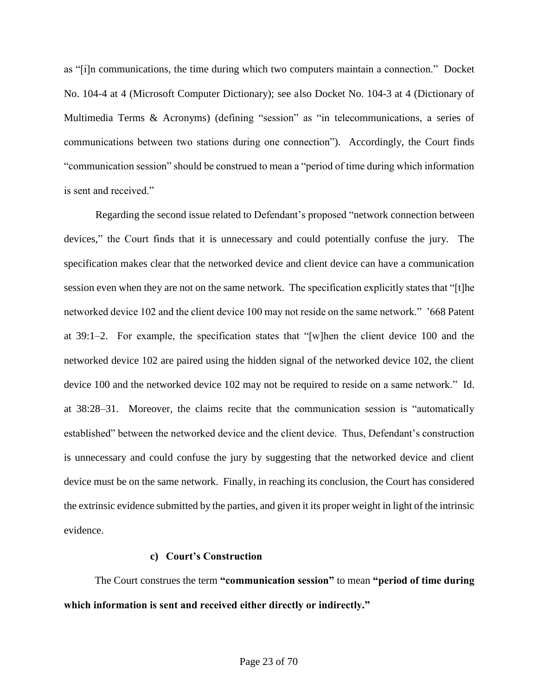as "[i]n communications, the time during which two computers maintain a connection." Docket No. 104-4 at 4 (Microsoft Computer Dictionary); see also Docket No. 104-3 at 4 (Dictionary of Multimedia Terms & Acronyms) (defining "session" as "in telecommunications, a series of communications between two stations during one connection"). Accordingly, the Court finds "communication session" should be construed to mean a "period of time during which information is sent and received."

Regarding the second issue related to Defendant's proposed "network connection between devices," the Court finds that it is unnecessary and could potentially confuse the jury. The specification makes clear that the networked device and client device can have a communication session even when they are not on the same network. The specification explicitly states that "[t]he networked device 102 and the client device 100 may not reside on the same network." '668 Patent at 39:1–2. For example, the specification states that "[w]hen the client device 100 and the networked device 102 are paired using the hidden signal of the networked device 102, the client device 100 and the networked device 102 may not be required to reside on a same network." Id. at 38:28–31. Moreover, the claims recite that the communication session is "automatically established" between the networked device and the client device. Thus, Defendant's construction is unnecessary and could confuse the jury by suggesting that the networked device and client device must be on the same network. Finally, in reaching its conclusion, the Court has considered the extrinsic evidence submitted by the parties, and given it its proper weight in light of the intrinsic evidence.

### **c) Court's Construction**

The Court construes the term **"communication session"** to mean **"period of time during which information is sent and received either directly or indirectly."**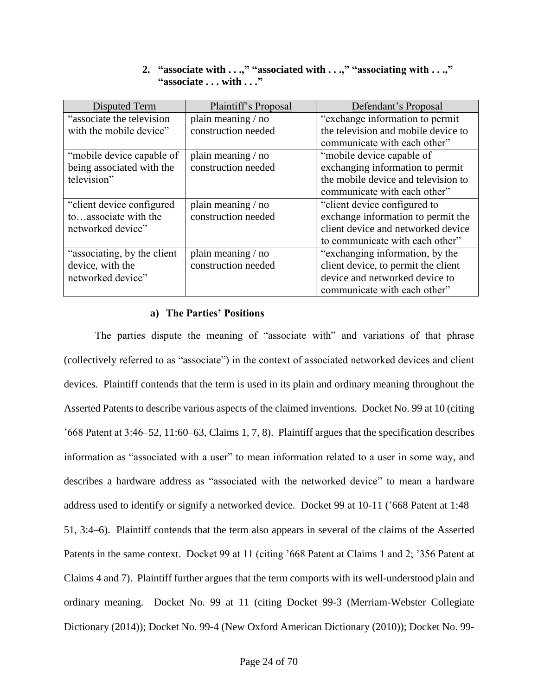## **2. "associate with . . .," "associated with . . .," "associating with . . .," "associate . . . with . . ."**

| Disputed Term                | Plaintiff's Proposal | Defendant's Proposal                |
|------------------------------|----------------------|-------------------------------------|
| "associate the television"   | plain meaning / no   | "exchange information to permit     |
| with the mobile device"      | construction needed  | the television and mobile device to |
|                              |                      | communicate with each other"        |
| "mobile device capable of    | plain meaning / no   | "mobile device capable of           |
| being associated with the    | construction needed  | exchanging information to permit    |
| television"                  |                      | the mobile device and television to |
|                              |                      | communicate with each other"        |
| "client device configured"   | plain meaning / no   | "client device configured to        |
| toassociate with the         | construction needed  | exchange information to permit the  |
| networked device"            |                      | client device and networked device  |
|                              |                      | to communicate with each other"     |
| "associating, by the client" | plain meaning / no   | "exchanging information, by the     |
| device, with the             | construction needed  | client device, to permit the client |
| networked device"            |                      | device and networked device to      |
|                              |                      | communicate with each other"        |

#### **a) The Parties' Positions**

The parties dispute the meaning of "associate with" and variations of that phrase (collectively referred to as "associate") in the context of associated networked devices and client devices. Plaintiff contends that the term is used in its plain and ordinary meaning throughout the Asserted Patents to describe various aspects of the claimed inventions. Docket No. 99 at 10 (citing '668 Patent at 3:46–52, 11:60–63, Claims 1, 7, 8). Plaintiff argues that the specification describes information as "associated with a user" to mean information related to a user in some way, and describes a hardware address as "associated with the networked device" to mean a hardware address used to identify or signify a networked device. Docket 99 at 10-11 ('668 Patent at 1:48– 51, 3:4–6). Plaintiff contends that the term also appears in several of the claims of the Asserted Patents in the same context. Docket 99 at 11 (citing '668 Patent at Claims 1 and 2; '356 Patent at Claims 4 and 7). Plaintiff further argues that the term comports with its well-understood plain and ordinary meaning. Docket No. 99 at 11 (citing Docket 99-3 (Merriam-Webster Collegiate Dictionary (2014)); Docket No. 99-4 (New Oxford American Dictionary (2010)); Docket No. 99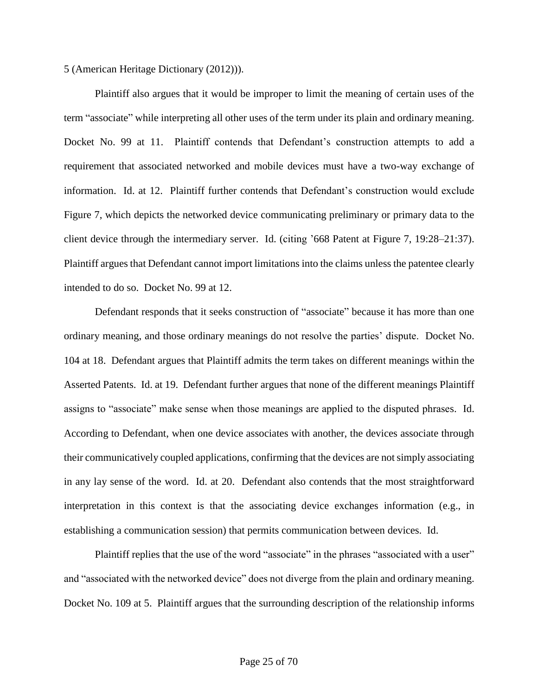5 (American Heritage Dictionary (2012))).

Plaintiff also argues that it would be improper to limit the meaning of certain uses of the term "associate" while interpreting all other uses of the term under its plain and ordinary meaning. Docket No. 99 at 11. Plaintiff contends that Defendant's construction attempts to add a requirement that associated networked and mobile devices must have a two-way exchange of information. Id. at 12. Plaintiff further contends that Defendant's construction would exclude Figure 7, which depicts the networked device communicating preliminary or primary data to the client device through the intermediary server. Id. (citing '668 Patent at Figure 7, 19:28–21:37). Plaintiff argues that Defendant cannot import limitations into the claims unless the patentee clearly intended to do so. Docket No. 99 at 12.

Defendant responds that it seeks construction of "associate" because it has more than one ordinary meaning, and those ordinary meanings do not resolve the parties' dispute. Docket No. 104 at 18. Defendant argues that Plaintiff admits the term takes on different meanings within the Asserted Patents. Id. at 19. Defendant further argues that none of the different meanings Plaintiff assigns to "associate" make sense when those meanings are applied to the disputed phrases. Id. According to Defendant, when one device associates with another, the devices associate through their communicatively coupled applications, confirming that the devices are not simply associating in any lay sense of the word. Id. at 20. Defendant also contends that the most straightforward interpretation in this context is that the associating device exchanges information (e.g., in establishing a communication session) that permits communication between devices. Id.

Plaintiff replies that the use of the word "associate" in the phrases "associated with a user" and "associated with the networked device" does not diverge from the plain and ordinary meaning. Docket No. 109 at 5. Plaintiff argues that the surrounding description of the relationship informs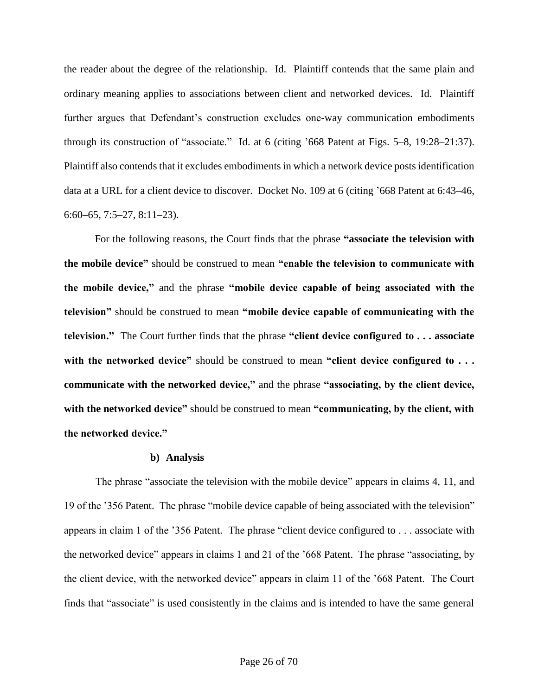the reader about the degree of the relationship. Id. Plaintiff contends that the same plain and ordinary meaning applies to associations between client and networked devices. Id. Plaintiff further argues that Defendant's construction excludes one-way communication embodiments through its construction of "associate." Id. at 6 (citing '668 Patent at Figs. 5–8, 19:28–21:37). Plaintiff also contends that it excludes embodiments in which a network device posts identification data at a URL for a client device to discover. Docket No. 109 at 6 (citing '668 Patent at 6:43–46, 6:60–65, 7:5–27, 8:11–23).

For the following reasons, the Court finds that the phrase **"associate the television with the mobile device"** should be construed to mean **"enable the television to communicate with the mobile device,"** and the phrase **"mobile device capable of being associated with the television"** should be construed to mean **"mobile device capable of communicating with the television."** The Court further finds that the phrase **"client device configured to . . . associate with the networked device"** should be construed to mean **"client device configured to . . . communicate with the networked device,"** and the phrase **"associating, by the client device, with the networked device"** should be construed to mean **"communicating, by the client, with the networked device."**

#### **b) Analysis**

The phrase "associate the television with the mobile device" appears in claims 4, 11, and 19 of the '356 Patent. The phrase "mobile device capable of being associated with the television" appears in claim 1 of the '356 Patent. The phrase "client device configured to . . . associate with the networked device" appears in claims 1 and 21 of the '668 Patent. The phrase "associating, by the client device, with the networked device" appears in claim 11 of the '668 Patent. The Court finds that "associate" is used consistently in the claims and is intended to have the same general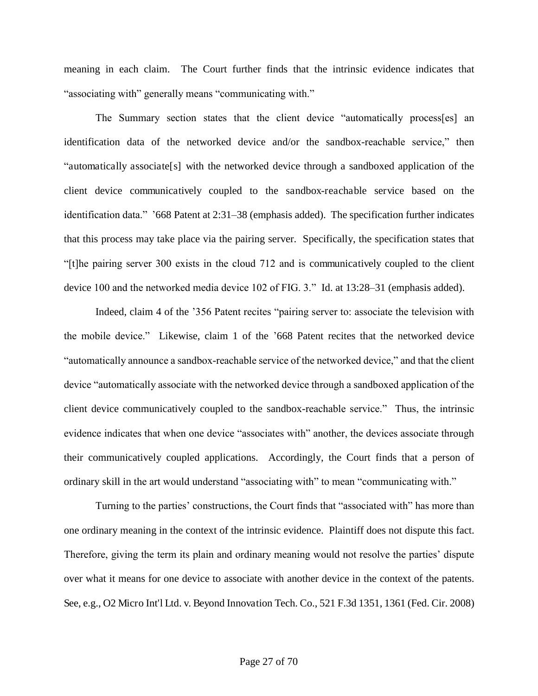meaning in each claim. The Court further finds that the intrinsic evidence indicates that "associating with" generally means "communicating with."

The Summary section states that the client device "automatically process[es] an identification data of the networked device and/or the sandbox-reachable service," then "automatically associate[s] with the networked device through a sandboxed application of the client device communicatively coupled to the sandbox-reachable service based on the identification data." '668 Patent at 2:31–38 (emphasis added). The specification further indicates that this process may take place via the pairing server. Specifically, the specification states that "[t]he pairing server 300 exists in the cloud 712 and is communicatively coupled to the client device 100 and the networked media device 102 of FIG. 3." Id. at 13:28–31 (emphasis added).

Indeed, claim 4 of the '356 Patent recites "pairing server to: associate the television with the mobile device." Likewise, claim 1 of the '668 Patent recites that the networked device "automatically announce a sandbox-reachable service of the networked device," and that the client device "automatically associate with the networked device through a sandboxed application of the client device communicatively coupled to the sandbox-reachable service." Thus, the intrinsic evidence indicates that when one device "associates with" another, the devices associate through their communicatively coupled applications. Accordingly, the Court finds that a person of ordinary skill in the art would understand "associating with" to mean "communicating with."

Turning to the parties' constructions, the Court finds that "associated with" has more than one ordinary meaning in the context of the intrinsic evidence. Plaintiff does not dispute this fact. Therefore, giving the term its plain and ordinary meaning would not resolve the parties' dispute over what it means for one device to associate with another device in the context of the patents. See, e.g., O2 Micro Int'l Ltd. v. Beyond Innovation Tech. Co., 521 F.3d 1351, 1361 (Fed. Cir. 2008)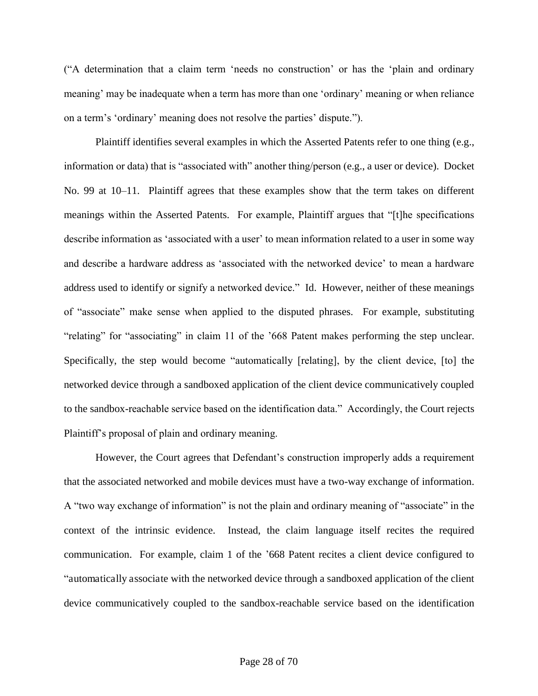("A determination that a claim term 'needs no construction' or has the 'plain and ordinary meaning' may be inadequate when a term has more than one 'ordinary' meaning or when reliance on a term's 'ordinary' meaning does not resolve the parties' dispute.").

Plaintiff identifies several examples in which the Asserted Patents refer to one thing (e.g., information or data) that is "associated with" another thing/person (e.g., a user or device). Docket No. 99 at 10–11. Plaintiff agrees that these examples show that the term takes on different meanings within the Asserted Patents. For example, Plaintiff argues that "[t]he specifications describe information as 'associated with a user' to mean information related to a user in some way and describe a hardware address as 'associated with the networked device' to mean a hardware address used to identify or signify a networked device." Id. However, neither of these meanings of "associate" make sense when applied to the disputed phrases. For example, substituting "relating" for "associating" in claim 11 of the '668 Patent makes performing the step unclear. Specifically, the step would become "automatically [relating], by the client device, [to] the networked device through a sandboxed application of the client device communicatively coupled to the sandbox-reachable service based on the identification data." Accordingly, the Court rejects Plaintiff's proposal of plain and ordinary meaning.

However, the Court agrees that Defendant's construction improperly adds a requirement that the associated networked and mobile devices must have a two-way exchange of information. A "two way exchange of information" is not the plain and ordinary meaning of "associate" in the context of the intrinsic evidence. Instead, the claim language itself recites the required communication. For example, claim 1 of the '668 Patent recites a client device configured to "automatically associate with the networked device through a sandboxed application of the client device communicatively coupled to the sandbox-reachable service based on the identification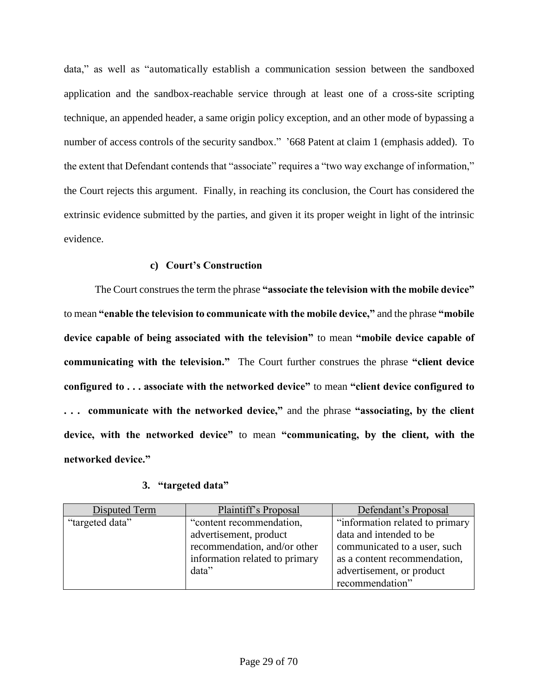data," as well as "automatically establish a communication session between the sandboxed application and the sandbox-reachable service through at least one of a cross-site scripting technique, an appended header, a same origin policy exception, and an other mode of bypassing a number of access controls of the security sandbox." '668 Patent at claim 1 (emphasis added). To the extent that Defendant contends that "associate" requires a "two way exchange of information," the Court rejects this argument. Finally, in reaching its conclusion, the Court has considered the extrinsic evidence submitted by the parties, and given it its proper weight in light of the intrinsic evidence.

## **c) Court's Construction**

The Court construes the term the phrase **"associate the television with the mobile device"**  to mean **"enable the television to communicate with the mobile device,"** and the phrase **"mobile device capable of being associated with the television"** to mean **"mobile device capable of communicating with the television."** The Court further construes the phrase **"client device configured to . . . associate with the networked device"** to mean **"client device configured to . . . communicate with the networked device,"** and the phrase **"associating, by the client device, with the networked device"** to mean **"communicating, by the client, with the networked device."**

### **3. "targeted data"**

| Disputed Term   | Plaintiff's Proposal           | Defendant's Proposal            |
|-----------------|--------------------------------|---------------------------------|
| "targeted data" | "content recommendation,       | "information related to primary |
|                 | advertisement, product         | data and intended to be         |
|                 | recommendation, and/or other   | communicated to a user, such    |
|                 | information related to primary | as a content recommendation,    |
|                 | data"                          | advertisement, or product       |
|                 |                                | recommendation"                 |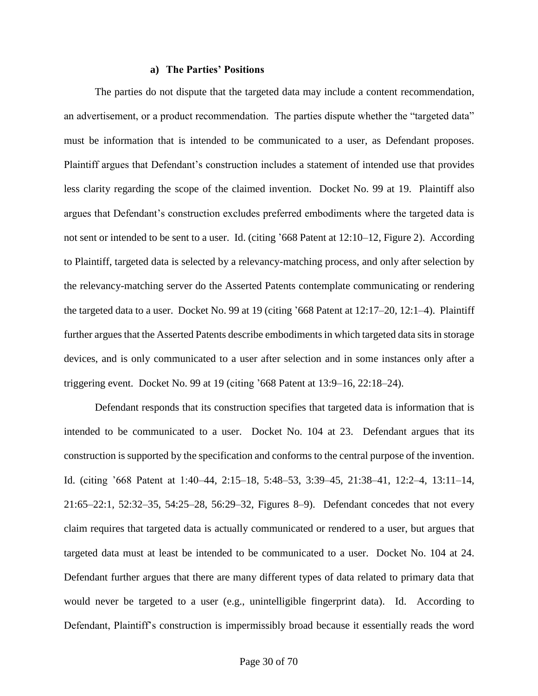#### **a) The Parties' Positions**

The parties do not dispute that the targeted data may include a content recommendation, an advertisement, or a product recommendation. The parties dispute whether the "targeted data" must be information that is intended to be communicated to a user, as Defendant proposes. Plaintiff argues that Defendant's construction includes a statement of intended use that provides less clarity regarding the scope of the claimed invention. Docket No. 99 at 19. Plaintiff also argues that Defendant's construction excludes preferred embodiments where the targeted data is not sent or intended to be sent to a user. Id. (citing '668 Patent at 12:10–12, Figure 2). According to Plaintiff, targeted data is selected by a relevancy-matching process, and only after selection by the relevancy-matching server do the Asserted Patents contemplate communicating or rendering the targeted data to a user. Docket No. 99 at 19 (citing '668 Patent at 12:17–20, 12:1–4). Plaintiff further argues that the Asserted Patents describe embodiments in which targeted data sits in storage devices, and is only communicated to a user after selection and in some instances only after a triggering event. Docket No. 99 at 19 (citing '668 Patent at 13:9–16, 22:18–24).

Defendant responds that its construction specifies that targeted data is information that is intended to be communicated to a user. Docket No. 104 at 23. Defendant argues that its construction is supported by the specification and conforms to the central purpose of the invention. Id. (citing '668 Patent at 1:40–44, 2:15–18, 5:48–53, 3:39–45, 21:38–41, 12:2–4, 13:11–14, 21:65–22:1, 52:32–35, 54:25–28, 56:29–32, Figures 8–9). Defendant concedes that not every claim requires that targeted data is actually communicated or rendered to a user, but argues that targeted data must at least be intended to be communicated to a user. Docket No. 104 at 24. Defendant further argues that there are many different types of data related to primary data that would never be targeted to a user (e.g., unintelligible fingerprint data). Id. According to Defendant, Plaintiff's construction is impermissibly broad because it essentially reads the word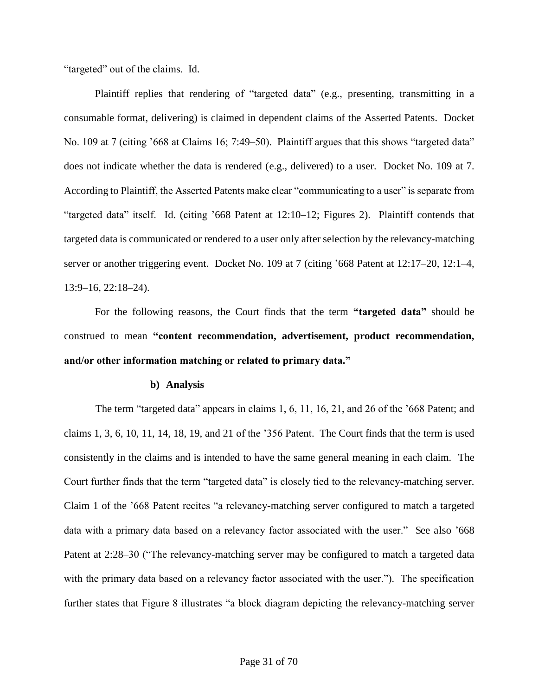"targeted" out of the claims. Id.

Plaintiff replies that rendering of "targeted data" (e.g., presenting, transmitting in a consumable format, delivering) is claimed in dependent claims of the Asserted Patents. Docket No. 109 at 7 (citing '668 at Claims 16; 7:49–50). Plaintiff argues that this shows "targeted data" does not indicate whether the data is rendered (e.g., delivered) to a user. Docket No. 109 at 7. According to Plaintiff, the Asserted Patents make clear "communicating to a user" is separate from "targeted data" itself. Id. (citing '668 Patent at 12:10–12; Figures 2). Plaintiff contends that targeted data is communicated or rendered to a user only after selection by the relevancy-matching server or another triggering event. Docket No. 109 at 7 (citing '668 Patent at 12:17–20, 12:1–4, 13:9–16, 22:18–24).

For the following reasons, the Court finds that the term **"targeted data"** should be construed to mean **"content recommendation, advertisement, product recommendation, and/or other information matching or related to primary data."**

#### **b) Analysis**

The term "targeted data" appears in claims 1, 6, 11, 16, 21, and 26 of the '668 Patent; and claims 1, 3, 6, 10, 11, 14, 18, 19, and 21 of the '356 Patent. The Court finds that the term is used consistently in the claims and is intended to have the same general meaning in each claim. The Court further finds that the term "targeted data" is closely tied to the relevancy-matching server. Claim 1 of the '668 Patent recites "a relevancy-matching server configured to match a targeted data with a primary data based on a relevancy factor associated with the user." See also '668 Patent at 2:28–30 ("The relevancy-matching server may be configured to match a targeted data with the primary data based on a relevancy factor associated with the user."). The specification further states that Figure 8 illustrates "a block diagram depicting the relevancy-matching server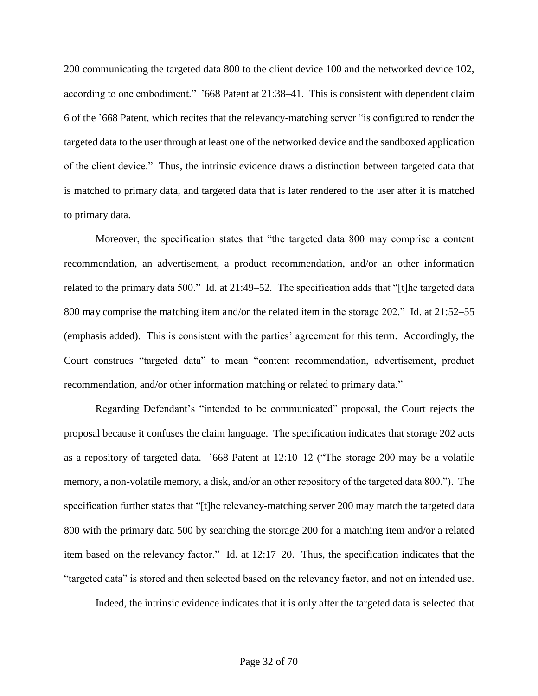200 communicating the targeted data 800 to the client device 100 and the networked device 102, according to one embodiment." '668 Patent at 21:38–41. This is consistent with dependent claim 6 of the '668 Patent, which recites that the relevancy-matching server "is configured to render the targeted data to the user through at least one of the networked device and the sandboxed application of the client device." Thus, the intrinsic evidence draws a distinction between targeted data that is matched to primary data, and targeted data that is later rendered to the user after it is matched to primary data.

Moreover, the specification states that "the targeted data 800 may comprise a content recommendation, an advertisement, a product recommendation, and/or an other information related to the primary data 500." Id. at 21:49–52. The specification adds that "[t]he targeted data 800 may comprise the matching item and/or the related item in the storage 202." Id. at 21:52–55 (emphasis added). This is consistent with the parties' agreement for this term. Accordingly, the Court construes "targeted data" to mean "content recommendation, advertisement, product recommendation, and/or other information matching or related to primary data."

Regarding Defendant's "intended to be communicated" proposal, the Court rejects the proposal because it confuses the claim language. The specification indicates that storage 202 acts as a repository of targeted data. '668 Patent at 12:10–12 ("The storage 200 may be a volatile memory, a non-volatile memory, a disk, and/or an other repository of the targeted data 800."). The specification further states that "[t]he relevancy-matching server 200 may match the targeted data 800 with the primary data 500 by searching the storage 200 for a matching item and/or a related item based on the relevancy factor." Id. at 12:17–20. Thus, the specification indicates that the "targeted data" is stored and then selected based on the relevancy factor, and not on intended use.

Indeed, the intrinsic evidence indicates that it is only after the targeted data is selected that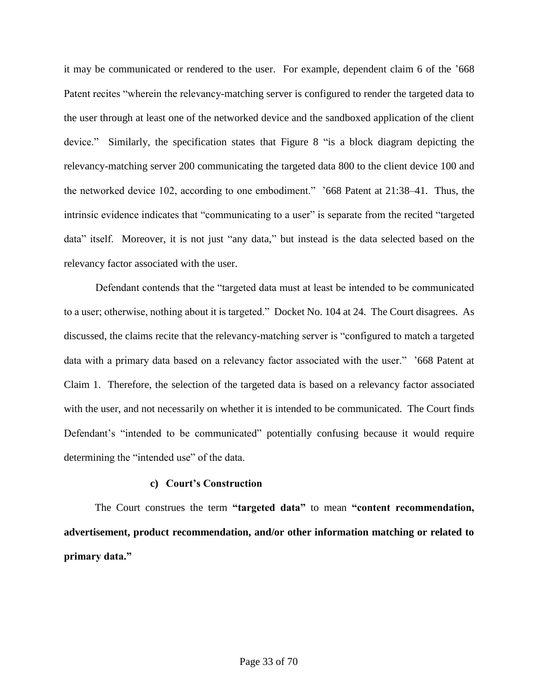it may be communicated or rendered to the user. For example, dependent claim 6 of the '668 Patent recites "wherein the relevancy-matching server is configured to render the targeted data to the user through at least one of the networked device and the sandboxed application of the client device." Similarly, the specification states that Figure 8 "is a block diagram depicting the relevancy-matching server 200 communicating the targeted data 800 to the client device 100 and the networked device 102, according to one embodiment." '668 Patent at 21:38–41. Thus, the intrinsic evidence indicates that "communicating to a user" is separate from the recited "targeted data" itself. Moreover, it is not just "any data," but instead is the data selected based on the relevancy factor associated with the user.

Defendant contends that the "targeted data must at least be intended to be communicated to a user; otherwise, nothing about it is targeted." Docket No. 104 at 24. The Court disagrees. As discussed, the claims recite that the relevancy-matching server is "configured to match a targeted data with a primary data based on a relevancy factor associated with the user." '668 Patent at Claim 1. Therefore, the selection of the targeted data is based on a relevancy factor associated with the user, and not necessarily on whether it is intended to be communicated. The Court finds Defendant's "intended to be communicated" potentially confusing because it would require determining the "intended use" of the data.

### **c) Court's Construction**

The Court construes the term **"targeted data"** to mean **"content recommendation, advertisement, product recommendation, and/or other information matching or related to primary data."**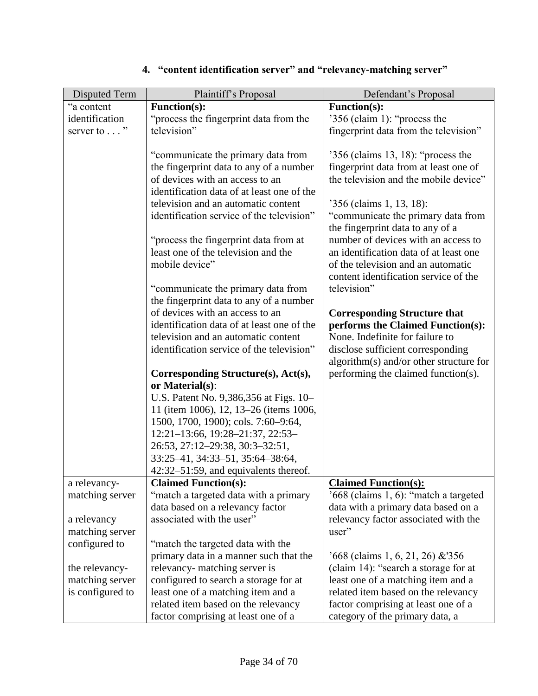| <b>Disputed Term</b> | Plaintiff's Proposal                                                              | Defendant's Proposal                                                 |
|----------------------|-----------------------------------------------------------------------------------|----------------------------------------------------------------------|
| "a content           | <b>Function(s):</b>                                                               | <b>Function(s):</b>                                                  |
| identification       | "process the fingerprint data from the                                            | '356 (claim 1): "process the                                         |
| server to $\dots$ "  | television"                                                                       | fingerprint data from the television"                                |
|                      |                                                                                   |                                                                      |
|                      | "communicate the primary data from                                                | $356$ (claims 13, 18): "process the                                  |
|                      | the fingerprint data to any of a number                                           | fingerprint data from at least one of                                |
|                      | of devices with an access to an                                                   | the television and the mobile device"                                |
|                      | identification data of at least one of the                                        |                                                                      |
|                      | television and an automatic content                                               | '356 (claims 1, 13, 18):                                             |
|                      | identification service of the television"                                         | "communicate the primary data from                                   |
|                      |                                                                                   | the fingerprint data to any of a                                     |
|                      | "process the fingerprint data from at                                             | number of devices with an access to                                  |
|                      | least one of the television and the                                               | an identification data of at least one                               |
|                      | mobile device"                                                                    | of the television and an automatic                                   |
|                      |                                                                                   | content identification service of the                                |
|                      | "communicate the primary data from                                                | television"                                                          |
|                      | the fingerprint data to any of a number                                           |                                                                      |
|                      | of devices with an access to an                                                   | <b>Corresponding Structure that</b>                                  |
|                      | identification data of at least one of the<br>television and an automatic content | performs the Claimed Function(s):<br>None. Indefinite for failure to |
|                      | identification service of the television"                                         | disclose sufficient corresponding                                    |
|                      |                                                                                   | algorithm(s) and/or other structure for                              |
|                      | Corresponding Structure(s), Act(s),                                               | performing the claimed function(s).                                  |
|                      | or Material(s):                                                                   |                                                                      |
|                      | U.S. Patent No. 9,386,356 at Figs. 10-                                            |                                                                      |
|                      | 11 (item 1006), 12, 13–26 (items 1006,                                            |                                                                      |
|                      | 1500, 1700, 1900); cols. 7:60-9:64,                                               |                                                                      |
|                      | 12:21-13:66, 19:28-21:37, 22:53-                                                  |                                                                      |
|                      | 26:53, 27:12-29:38, 30:3-32:51,                                                   |                                                                      |
|                      | 33:25-41, 34:33-51, 35:64-38:64,                                                  |                                                                      |
|                      | 42:32–51:59, and equivalents thereof.                                             |                                                                      |
| a relevancy-         | <b>Claimed Function(s):</b>                                                       | <b>Claimed Function(s):</b>                                          |
| matching server      | "match a targeted data with a primary                                             | '668 (claims 1, 6): "match a targeted                                |
|                      | data based on a relevancy factor                                                  | data with a primary data based on a                                  |
| a relevancy          | associated with the user"                                                         | relevancy factor associated with the                                 |
| matching server      |                                                                                   | user"                                                                |
| configured to        | "match the targeted data with the                                                 |                                                                      |
|                      | primary data in a manner such that the                                            | $668$ (claims 1, 6, 21, 26) & 356                                    |
| the relevancy-       | relevancy- matching server is                                                     | (claim 14): "search a storage for at                                 |
| matching server      | configured to search a storage for at                                             | least one of a matching item and a                                   |
| is configured to     | least one of a matching item and a                                                | related item based on the relevancy                                  |
|                      | related item based on the relevancy                                               | factor comprising at least one of a                                  |
|                      | factor comprising at least one of a                                               | category of the primary data, a                                      |

# **4. "content identification server" and "relevancy-matching server"**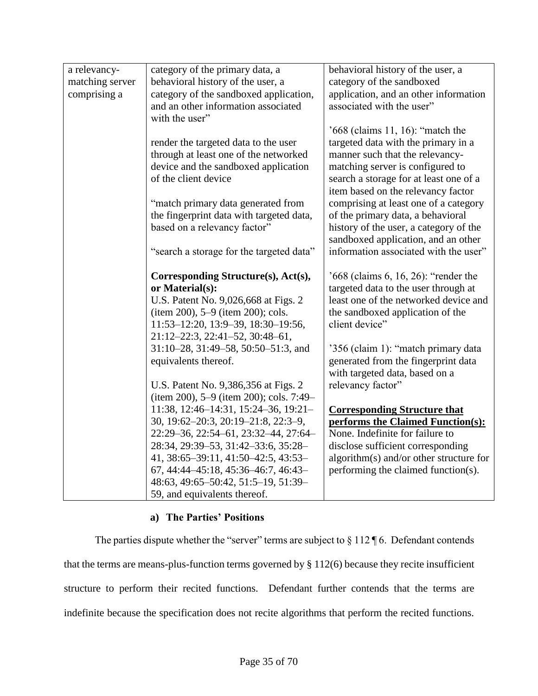| a relevancy-    | category of the primary data, a          | behavioral history of the user, a       |
|-----------------|------------------------------------------|-----------------------------------------|
| matching server | behavioral history of the user, a        | category of the sandboxed               |
| comprising a    | category of the sandboxed application,   | application, and an other information   |
|                 | and an other information associated      | associated with the user"               |
|                 | with the user"                           |                                         |
|                 |                                          | '668 (claims 11, 16): "match the        |
|                 | render the targeted data to the user     | targeted data with the primary in a     |
|                 | through at least one of the networked    | manner such that the relevancy-         |
|                 | device and the sandboxed application     | matching server is configured to        |
|                 | of the client device                     | search a storage for at least one of a  |
|                 |                                          | item based on the relevancy factor      |
|                 | "match primary data generated from       | comprising at least one of a category   |
|                 | the fingerprint data with targeted data, | of the primary data, a behavioral       |
|                 | based on a relevancy factor"             | history of the user, a category of the  |
|                 |                                          | sandboxed application, and an other     |
|                 | "search a storage for the targeted data" | information associated with the user"   |
|                 |                                          |                                         |
|                 | Corresponding Structure(s), Act(s),      | '668 (claims 6, 16, 26): "render the    |
|                 | or Material(s):                          | targeted data to the user through at    |
|                 | U.S. Patent No. 9,026,668 at Figs. 2     | least one of the networked device and   |
|                 | (item 200), 5–9 (item 200); cols.        | the sandboxed application of the        |
|                 | 11:53-12:20, 13:9-39, 18:30-19:56,       | client device"                          |
|                 | 21:12-22:3, 22:41-52, 30:48-61,          |                                         |
|                 | 31:10-28, 31:49-58, 50:50-51:3, and      | '356 (claim 1): "match primary data     |
|                 | equivalents thereof.                     | generated from the fingerprint data     |
|                 |                                          | with targeted data, based on a          |
|                 | U.S. Patent No. 9,386,356 at Figs. 2     | relevancy factor"                       |
|                 | (item 200), 5–9 (item 200); cols. 7:49–  |                                         |
|                 | 11:38, 12:46-14:31, 15:24-36, 19:21-     | <b>Corresponding Structure that</b>     |
|                 | 30, 19:62-20:3, 20:19-21:8, 22:3-9,      | performs the Claimed Function(s):       |
|                 | 22:29-36, 22:54-61, 23:32-44, 27:64-     | None. Indefinite for failure to         |
|                 | 28:34, 29:39–53, 31:42–33:6, 35:28–      | disclose sufficient corresponding       |
|                 | 41, 38:65-39:11, 41:50-42:5, 43:53-      | algorithm(s) and/or other structure for |
|                 | 67, 44:44-45:18, 45:36-46:7, 46:43-      | performing the claimed function(s).     |
|                 | 48:63, 49:65-50:42, 51:5-19, 51:39-      |                                         |
|                 | 59, and equivalents thereof.             |                                         |
|                 |                                          |                                         |

## **a) The Parties' Positions**

The parties dispute whether the "server" terms are subject to  $\S 112 \P 6$ . Defendant contends that the terms are means-plus-function terms governed by § 112(6) because they recite insufficient structure to perform their recited functions. Defendant further contends that the terms are indefinite because the specification does not recite algorithms that perform the recited functions.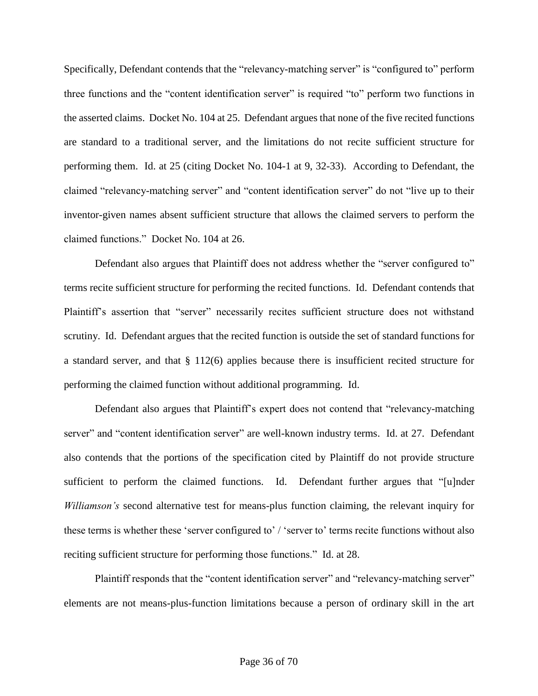Specifically, Defendant contends that the "relevancy-matching server" is "configured to" perform three functions and the "content identification server" is required "to" perform two functions in the asserted claims. Docket No. 104 at 25. Defendant argues that none of the five recited functions are standard to a traditional server, and the limitations do not recite sufficient structure for performing them. Id. at 25 (citing Docket No. 104-1 at 9, 32-33). According to Defendant, the claimed "relevancy-matching server" and "content identification server" do not "live up to their inventor-given names absent sufficient structure that allows the claimed servers to perform the claimed functions." Docket No. 104 at 26.

Defendant also argues that Plaintiff does not address whether the "server configured to" terms recite sufficient structure for performing the recited functions. Id. Defendant contends that Plaintiff's assertion that "server" necessarily recites sufficient structure does not withstand scrutiny. Id. Defendant argues that the recited function is outside the set of standard functions for a standard server, and that § 112(6) applies because there is insufficient recited structure for performing the claimed function without additional programming. Id.

Defendant also argues that Plaintiff's expert does not contend that "relevancy-matching server" and "content identification server" are well-known industry terms. Id. at 27. Defendant also contends that the portions of the specification cited by Plaintiff do not provide structure sufficient to perform the claimed functions. Id. Defendant further argues that "[u]nder *Williamson's* second alternative test for means-plus function claiming, the relevant inquiry for these terms is whether these 'server configured to' / 'server to' terms recite functions without also reciting sufficient structure for performing those functions." Id. at 28.

Plaintiff responds that the "content identification server" and "relevancy-matching server" elements are not means-plus-function limitations because a person of ordinary skill in the art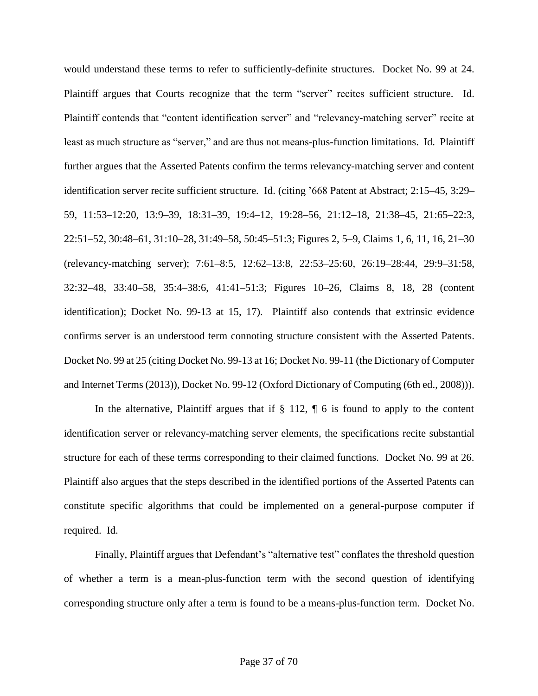would understand these terms to refer to sufficiently-definite structures. Docket No. 99 at 24. Plaintiff argues that Courts recognize that the term "server" recites sufficient structure. Id. Plaintiff contends that "content identification server" and "relevancy-matching server" recite at least as much structure as "server," and are thus not means-plus-function limitations. Id. Plaintiff further argues that the Asserted Patents confirm the terms relevancy-matching server and content identification server recite sufficient structure. Id. (citing '668 Patent at Abstract; 2:15–45, 3:29– 59, 11:53–12:20, 13:9–39, 18:31–39, 19:4–12, 19:28–56, 21:12–18, 21:38–45, 21:65–22:3, 22:51–52, 30:48–61, 31:10–28, 31:49–58, 50:45–51:3; Figures 2, 5–9, Claims 1, 6, 11, 16, 21–30 (relevancy-matching server); 7:61–8:5, 12:62–13:8, 22:53–25:60, 26:19–28:44, 29:9–31:58, 32:32–48, 33:40–58, 35:4–38:6, 41:41–51:3; Figures 10–26, Claims 8, 18, 28 (content identification); Docket No. 99-13 at 15, 17). Plaintiff also contends that extrinsic evidence confirms server is an understood term connoting structure consistent with the Asserted Patents. Docket No. 99 at 25 (citing Docket No. 99-13 at 16; Docket No. 99-11 (the Dictionary of Computer and Internet Terms (2013)), Docket No. 99-12 (Oxford Dictionary of Computing (6th ed., 2008))).

In the alternative, Plaintiff argues that if  $\S 112$ ,  $\P 6$  is found to apply to the content identification server or relevancy-matching server elements, the specifications recite substantial structure for each of these terms corresponding to their claimed functions. Docket No. 99 at 26. Plaintiff also argues that the steps described in the identified portions of the Asserted Patents can constitute specific algorithms that could be implemented on a general-purpose computer if required. Id.

Finally, Plaintiff argues that Defendant's "alternative test" conflates the threshold question of whether a term is a mean-plus-function term with the second question of identifying corresponding structure only after a term is found to be a means-plus-function term. Docket No.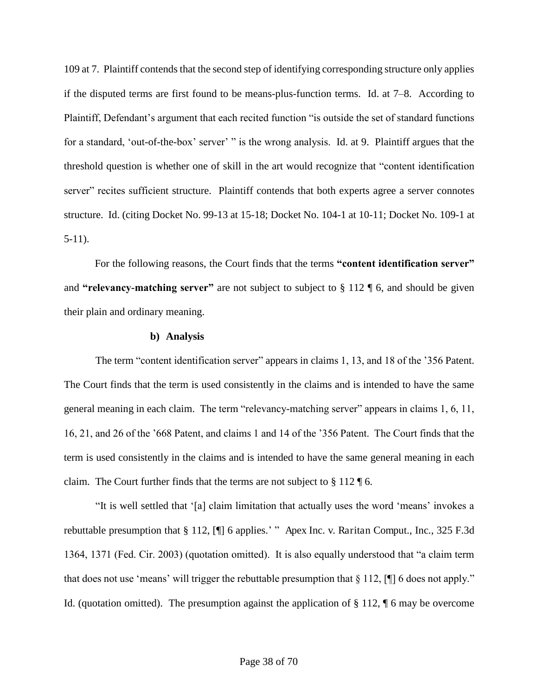109 at 7. Plaintiff contends that the second step of identifying corresponding structure only applies if the disputed terms are first found to be means-plus-function terms. Id. at 7–8. According to Plaintiff, Defendant's argument that each recited function "is outside the set of standard functions for a standard, 'out-of-the-box' server' " is the wrong analysis. Id. at 9. Plaintiff argues that the threshold question is whether one of skill in the art would recognize that "content identification server" recites sufficient structure. Plaintiff contends that both experts agree a server connotes structure. Id. (citing Docket No. 99-13 at 15-18; Docket No. 104-1 at 10-11; Docket No. 109-1 at 5-11).

For the following reasons, the Court finds that the terms **"content identification server"**  and **"relevancy-matching server"** are not subject to subject to § 112 ¶ 6, and should be given their plain and ordinary meaning.

#### **b) Analysis**

The term "content identification server" appears in claims 1, 13, and 18 of the '356 Patent. The Court finds that the term is used consistently in the claims and is intended to have the same general meaning in each claim. The term "relevancy-matching server" appears in claims 1, 6, 11, 16, 21, and 26 of the '668 Patent, and claims 1 and 14 of the '356 Patent. The Court finds that the term is used consistently in the claims and is intended to have the same general meaning in each claim. The Court further finds that the terms are not subject to § 112 ¶ 6.

"It is well settled that '[a] claim limitation that actually uses the word 'means' invokes a rebuttable presumption that § 112, [¶] 6 applies.' " Apex Inc. v. Raritan Comput., Inc., 325 F.3d 1364, 1371 (Fed. Cir. 2003) (quotation omitted). It is also equally understood that "a claim term that does not use 'means' will trigger the rebuttable presumption that  $\S 112$ , [ $\P$ ] 6 does not apply." Id. (quotation omitted). The presumption against the application of § 112, ¶ 6 may be overcome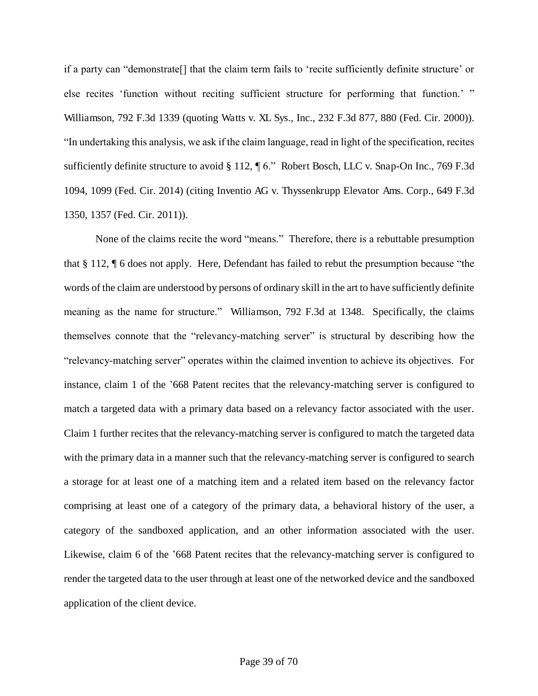if a party can "demonstrate[] that the claim term fails to 'recite sufficiently definite structure' or else recites 'function without reciting sufficient structure for performing that function.' " Williamson, 792 F.3d 1339 (quoting Watts v. XL Sys., Inc., 232 F.3d 877, 880 (Fed. Cir. 2000)). "In undertaking this analysis, we ask if the claim language, read in light of the specification, recites sufficiently definite structure to avoid § 112, ¶ 6." Robert Bosch, LLC v. Snap-On Inc., 769 F.3d 1094, 1099 (Fed. Cir. 2014) (citing Inventio AG v. Thyssenkrupp Elevator Ams. Corp., 649 F.3d 1350, 1357 (Fed. Cir. 2011)).

None of the claims recite the word "means." Therefore, there is a rebuttable presumption that § 112, ¶ 6 does not apply. Here, Defendant has failed to rebut the presumption because "the words of the claim are understood by persons of ordinary skill in the art to have sufficiently definite meaning as the name for structure." Williamson, 792 F.3d at 1348. Specifically, the claims themselves connote that the "relevancy-matching server" is structural by describing how the "relevancy-matching server" operates within the claimed invention to achieve its objectives. For instance, claim 1 of the '668 Patent recites that the relevancy-matching server is configured to match a targeted data with a primary data based on a relevancy factor associated with the user. Claim 1 further recites that the relevancy-matching server is configured to match the targeted data with the primary data in a manner such that the relevancy-matching server is configured to search a storage for at least one of a matching item and a related item based on the relevancy factor comprising at least one of a category of the primary data, a behavioral history of the user, a category of the sandboxed application, and an other information associated with the user. Likewise, claim 6 of the '668 Patent recites that the relevancy-matching server is configured to render the targeted data to the user through at least one of the networked device and the sandboxed application of the client device.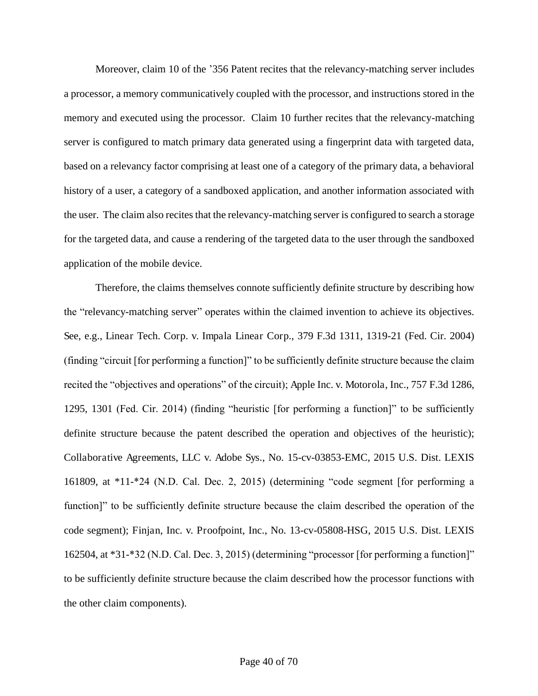Moreover, claim 10 of the '356 Patent recites that the relevancy-matching server includes a processor, a memory communicatively coupled with the processor, and instructions stored in the memory and executed using the processor. Claim 10 further recites that the relevancy-matching server is configured to match primary data generated using a fingerprint data with targeted data, based on a relevancy factor comprising at least one of a category of the primary data, a behavioral history of a user, a category of a sandboxed application, and another information associated with the user. The claim also recites that the relevancy-matching server is configured to search a storage for the targeted data, and cause a rendering of the targeted data to the user through the sandboxed application of the mobile device.

Therefore, the claims themselves connote sufficiently definite structure by describing how the "relevancy-matching server" operates within the claimed invention to achieve its objectives. See, e.g., Linear Tech. Corp. v. Impala Linear Corp., 379 F.3d 1311, 1319-21 (Fed. Cir. 2004) (finding "circuit [for performing a function]" to be sufficiently definite structure because the claim recited the "objectives and operations" of the circuit); Apple Inc. v. Motorola, Inc., 757 F.3d 1286, 1295, 1301 (Fed. Cir. 2014) (finding "heuristic [for performing a function]" to be sufficiently definite structure because the patent described the operation and objectives of the heuristic); Collaborative Agreements, LLC v. Adobe Sys., No. 15-cv-03853-EMC, 2015 U.S. Dist. LEXIS 161809, at \*11-\*24 (N.D. Cal. Dec. 2, 2015) (determining "code segment [for performing a function]" to be sufficiently definite structure because the claim described the operation of the code segment); Finjan, Inc. v. Proofpoint, Inc., No. 13-cv-05808-HSG, 2015 U.S. Dist. LEXIS 162504, at \*31-\*32 (N.D. Cal. Dec. 3, 2015) (determining "processor [for performing a function]" to be sufficiently definite structure because the claim described how the processor functions with the other claim components).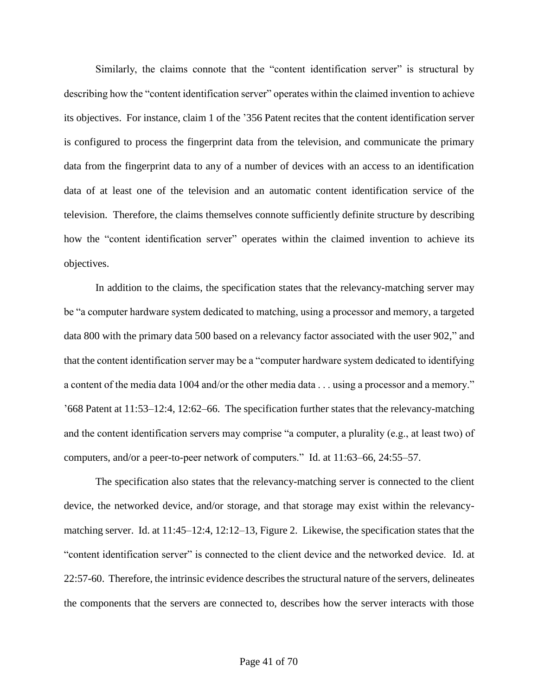Similarly, the claims connote that the "content identification server" is structural by describing how the "content identification server" operates within the claimed invention to achieve its objectives. For instance, claim 1 of the '356 Patent recites that the content identification server is configured to process the fingerprint data from the television, and communicate the primary data from the fingerprint data to any of a number of devices with an access to an identification data of at least one of the television and an automatic content identification service of the television. Therefore, the claims themselves connote sufficiently definite structure by describing how the "content identification server" operates within the claimed invention to achieve its objectives.

In addition to the claims, the specification states that the relevancy-matching server may be "a computer hardware system dedicated to matching, using a processor and memory, a targeted data 800 with the primary data 500 based on a relevancy factor associated with the user 902," and that the content identification server may be a "computer hardware system dedicated to identifying a content of the media data 1004 and/or the other media data . . . using a processor and a memory." '668 Patent at 11:53–12:4, 12:62–66. The specification further states that the relevancy-matching and the content identification servers may comprise "a computer, a plurality (e.g., at least two) of computers, and/or a peer-to-peer network of computers." Id. at 11:63–66, 24:55–57.

The specification also states that the relevancy-matching server is connected to the client device, the networked device, and/or storage, and that storage may exist within the relevancymatching server. Id. at 11:45–12:4, 12:12–13, Figure 2. Likewise, the specification states that the "content identification server" is connected to the client device and the networked device. Id. at 22:57-60. Therefore, the intrinsic evidence describes the structural nature of the servers, delineates the components that the servers are connected to, describes how the server interacts with those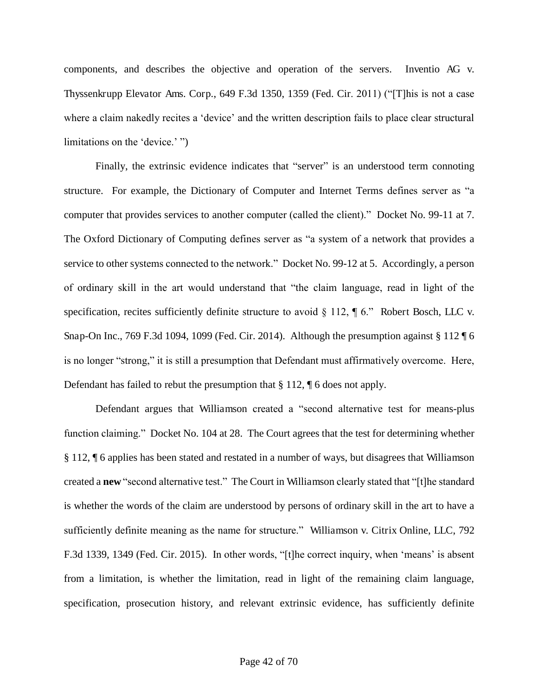components, and describes the objective and operation of the servers. Inventio AG v. Thyssenkrupp Elevator Ams. Corp., 649 F.3d 1350, 1359 (Fed. Cir. 2011) ("[T]his is not a case where a claim nakedly recites a 'device' and the written description fails to place clear structural limitations on the 'device.' ")

Finally, the extrinsic evidence indicates that "server" is an understood term connoting structure. For example, the Dictionary of Computer and Internet Terms defines server as "a computer that provides services to another computer (called the client)." Docket No. 99-11 at 7. The Oxford Dictionary of Computing defines server as "a system of a network that provides a service to other systems connected to the network." Docket No. 99-12 at 5. Accordingly, a person of ordinary skill in the art would understand that "the claim language, read in light of the specification, recites sufficiently definite structure to avoid § 112, ¶ 6." Robert Bosch, LLC v. Snap-On Inc., 769 F.3d 1094, 1099 (Fed. Cir. 2014). Although the presumption against § 112 ¶ 6 is no longer "strong," it is still a presumption that Defendant must affirmatively overcome. Here, Defendant has failed to rebut the presumption that § 112, ¶ 6 does not apply.

Defendant argues that Williamson created a "second alternative test for means-plus function claiming." Docket No. 104 at 28. The Court agrees that the test for determining whether § 112, ¶ 6 applies has been stated and restated in a number of ways, but disagrees that Williamson created a **new** "second alternative test." The Court in Williamson clearly stated that "[t]he standard is whether the words of the claim are understood by persons of ordinary skill in the art to have a sufficiently definite meaning as the name for structure." Williamson v. Citrix Online, LLC, 792 F.3d 1339, 1349 (Fed. Cir. 2015). In other words, "[t]he correct inquiry, when 'means' is absent from a limitation, is whether the limitation, read in light of the remaining claim language, specification, prosecution history, and relevant extrinsic evidence, has sufficiently definite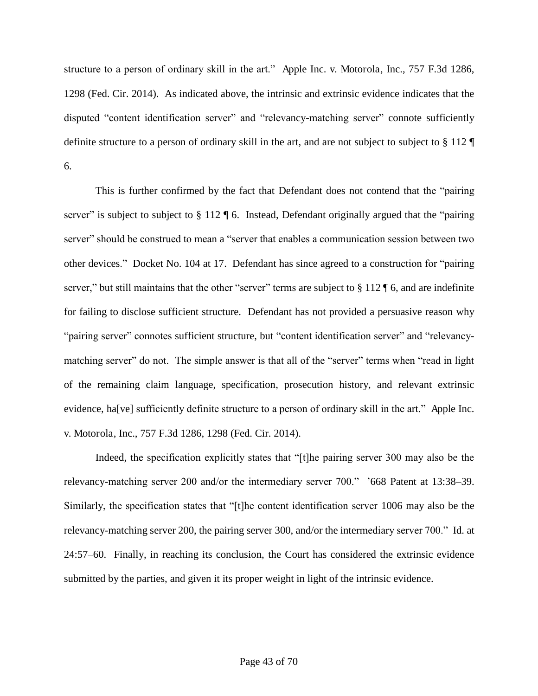structure to a person of ordinary skill in the art." Apple Inc. v. Motorola, Inc., 757 F.3d 1286, 1298 (Fed. Cir. 2014). As indicated above, the intrinsic and extrinsic evidence indicates that the disputed "content identification server" and "relevancy-matching server" connote sufficiently definite structure to a person of ordinary skill in the art, and are not subject to subject to § 112 ¶ 6.

This is further confirmed by the fact that Defendant does not contend that the "pairing server" is subject to subject to § 112 ¶ 6. Instead, Defendant originally argued that the "pairing server" should be construed to mean a "server that enables a communication session between two other devices." Docket No. 104 at 17. Defendant has since agreed to a construction for "pairing server," but still maintains that the other "server" terms are subject to § 112 ¶ 6, and are indefinite for failing to disclose sufficient structure. Defendant has not provided a persuasive reason why "pairing server" connotes sufficient structure, but "content identification server" and "relevancymatching server" do not. The simple answer is that all of the "server" terms when "read in light of the remaining claim language, specification, prosecution history, and relevant extrinsic evidence, ha[ve] sufficiently definite structure to a person of ordinary skill in the art." Apple Inc. v. Motorola, Inc., 757 F.3d 1286, 1298 (Fed. Cir. 2014).

Indeed, the specification explicitly states that "[t]he pairing server 300 may also be the relevancy-matching server 200 and/or the intermediary server 700." '668 Patent at 13:38–39. Similarly, the specification states that "[t]he content identification server 1006 may also be the relevancy-matching server 200, the pairing server 300, and/or the intermediary server 700." Id. at 24:57–60. Finally, in reaching its conclusion, the Court has considered the extrinsic evidence submitted by the parties, and given it its proper weight in light of the intrinsic evidence.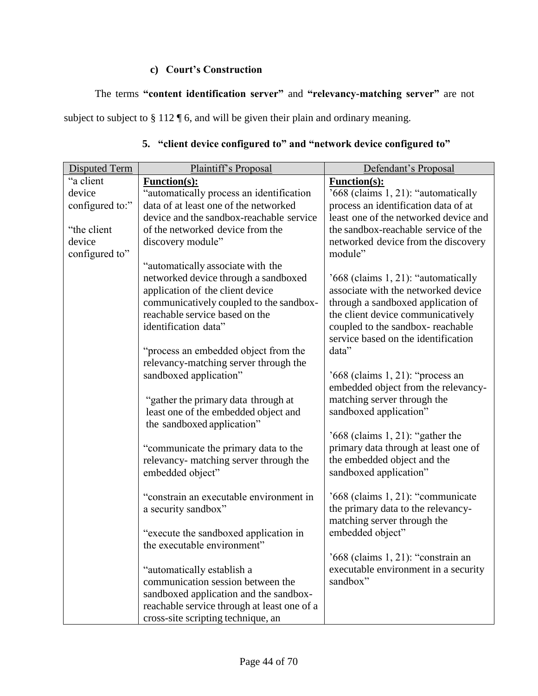## **c) Court's Construction**

## The terms **"content identification server"** and **"relevancy-matching server"** are not

subject to subject to § 112 ¶ 6, and will be given their plain and ordinary meaning.

| <b>Disputed Term</b> | Plaintiff's Proposal                        | Defendant's Proposal                  |
|----------------------|---------------------------------------------|---------------------------------------|
| "a client            | <b>Function(s):</b>                         | Function(s):                          |
| device               | "automatically process an identification    | '668 (claims 1, 21): "automatically   |
| configured to:"      | data of at least one of the networked       | process an identification data of at  |
|                      | device and the sandbox-reachable service    | least one of the networked device and |
| "the client"         | of the networked device from the            | the sandbox-reachable service of the  |
| device               | discovery module"                           | networked device from the discovery   |
| configured to"       |                                             | module"                               |
|                      | "automatically associate with the           |                                       |
|                      | networked device through a sandboxed        | '668 (claims 1, 21): "automatically   |
|                      | application of the client device            | associate with the networked device   |
|                      | communicatively coupled to the sandbox-     | through a sandboxed application of    |
|                      | reachable service based on the              | the client device communicatively     |
|                      | identification data"                        | coupled to the sandbox-reachable      |
|                      |                                             | service based on the identification   |
|                      | "process an embedded object from the        | data"                                 |
|                      | relevancy-matching server through the       |                                       |
|                      | sandboxed application"                      | '668 (claims 1, 21): "process an      |
|                      |                                             | embedded object from the relevancy-   |
|                      | "gather the primary data through at         | matching server through the           |
|                      | least one of the embedded object and        | sandboxed application"                |
|                      | the sandboxed application"                  |                                       |
|                      |                                             | $'668$ (claims 1, 21): "gather the    |
|                      | "communicate the primary data to the        | primary data through at least one of  |
|                      | relevancy- matching server through the      | the embedded object and the           |
|                      | embedded object"                            | sandboxed application"                |
|                      | "constrain an executable environment in     | '668 (claims 1, 21): "communicate     |
|                      | a security sandbox"                         | the primary data to the relevancy-    |
|                      |                                             | matching server through the           |
|                      | "execute the sandboxed application in       | embedded object"                      |
|                      | the executable environment"                 |                                       |
|                      |                                             | '668 (claims 1, 21): "constrain an    |
|                      | "automatically establish a                  | executable environment in a security  |
|                      | communication session between the           | sandbox"                              |
|                      | sandboxed application and the sandbox-      |                                       |
|                      | reachable service through at least one of a |                                       |
|                      | cross-site scripting technique, an          |                                       |

## **5. "client device configured to" and "network device configured to"**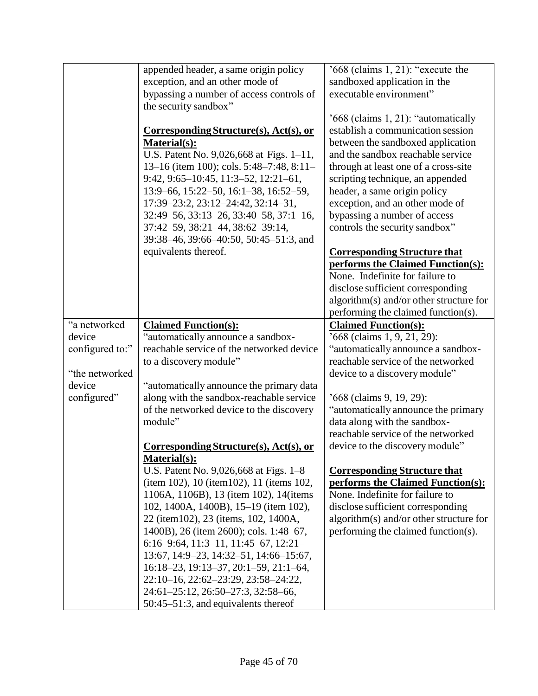|                 | appended header, a same origin policy     | $'668$ (claims 1, 21): "execute the                                      |
|-----------------|-------------------------------------------|--------------------------------------------------------------------------|
|                 | exception, and an other mode of           | sandboxed application in the                                             |
|                 | bypassing a number of access controls of  | executable environment"                                                  |
|                 | the security sandbox"                     |                                                                          |
|                 |                                           | '668 (claims 1, 21): "automatically                                      |
|                 | Corresponding Structure(s), Act(s), or    | establish a communication session                                        |
|                 | Material(s):                              | between the sandboxed application                                        |
|                 | U.S. Patent No. 9,026,668 at Figs. 1-11,  | and the sandbox reachable service                                        |
|                 | 13–16 (item 100); cols. 5:48–7:48, 8:11–  | through at least one of a cross-site                                     |
|                 | $9:42, 9:65-10:45, 11:3-52, 12:21-61,$    | scripting technique, an appended                                         |
|                 | 13:9-66, 15:22-50, 16:1-38, 16:52-59,     | header, a same origin policy                                             |
|                 | 17:39-23:2, 23:12-24:42, 32:14-31,        | exception, and an other mode of                                          |
|                 | 32:49-56, 33:13-26, 33:40-58, 37:1-16,    | bypassing a number of access                                             |
|                 | 37:42-59, 38:21-44, 38:62-39:14,          | controls the security sandbox"                                           |
|                 | 39:38-46, 39:66-40:50, 50:45-51:3, and    |                                                                          |
|                 | equivalents thereof.                      |                                                                          |
|                 |                                           | <b>Corresponding Structure that</b><br>performs the Claimed Function(s): |
|                 |                                           | None. Indefinite for failure to                                          |
|                 |                                           | disclose sufficient corresponding                                        |
|                 |                                           | algorithm(s) and/or other structure for                                  |
|                 |                                           | performing the claimed function(s).                                      |
| "a networked    | <b>Claimed Function(s):</b>               | <b>Claimed Function(s):</b>                                              |
| device          | "automatically announce a sandbox-        | $668$ (claims 1, 9, 21, 29):                                             |
| configured to:" | reachable service of the networked device | "automatically announce a sandbox-                                       |
|                 |                                           | reachable service of the networked                                       |
|                 | to a discovery module"                    |                                                                          |
| "the networked  |                                           | device to a discovery module"                                            |
| device          | "automatically announce the primary data  |                                                                          |
| configured"     | along with the sandbox-reachable service  | '668 (claims 9, 19, 29):                                                 |
|                 | of the networked device to the discovery  | "automatically announce the primary                                      |
|                 | module"                                   | data along with the sandbox-                                             |
|                 |                                           | reachable service of the networked                                       |
|                 | Corresponding Structure(s), Act(s), or    | device to the discovery module"                                          |
|                 | Material(s):                              |                                                                          |
|                 | U.S. Patent No. 9,026,668 at Figs. 1–8    | <b>Corresponding Structure that</b>                                      |
|                 | (item 102), 10 (item 102), 11 (items 102, | performs the Claimed Function(s):                                        |
|                 | 1106A, 1106B), 13 (item 102), 14 (items   | None. Indefinite for failure to                                          |
|                 | 102, 1400A, 1400B), 15-19 (item 102),     | disclose sufficient corresponding                                        |
|                 | 22 (item102), 23 (items, 102, 1400A,      | algorithm(s) and/or other structure for                                  |
|                 | 1400B), 26 (item 2600); cols. 1:48–67,    | performing the claimed function(s).                                      |
|                 | $6:16-9:64, 11:3-11, 11:45-67, 12:21-$    |                                                                          |
|                 | 13:67, 14:9-23, 14:32-51, 14:66-15:67,    |                                                                          |
|                 | 16:18-23, 19:13-37, 20:1-59, 21:1-64,     |                                                                          |
|                 | 22:10-16, 22:62-23:29, 23:58-24:22,       |                                                                          |
|                 | 24:61-25:12, 26:50-27:3, 32:58-66,        |                                                                          |
|                 | 50:45–51:3, and equivalents thereof       |                                                                          |
|                 |                                           |                                                                          |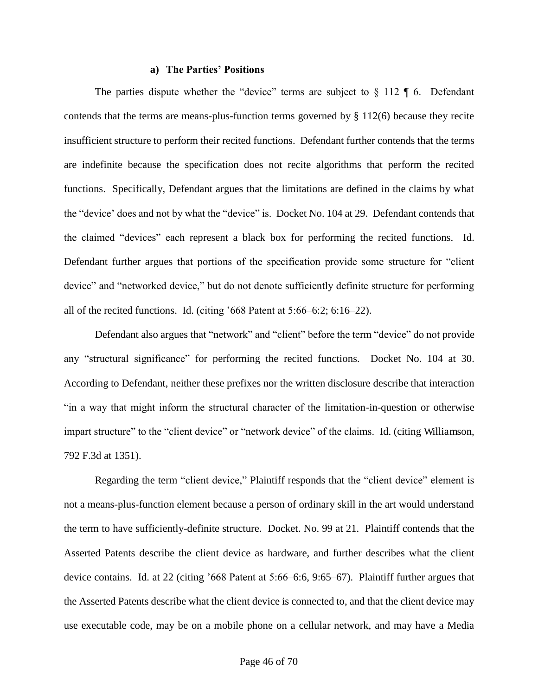#### **a) The Parties' Positions**

The parties dispute whether the "device" terms are subject to  $\S$  112  $\P$  6. Defendant contends that the terms are means-plus-function terms governed by  $\S 112(6)$  because they recite insufficient structure to perform their recited functions. Defendant further contends that the terms are indefinite because the specification does not recite algorithms that perform the recited functions. Specifically, Defendant argues that the limitations are defined in the claims by what the "device' does and not by what the "device" is. Docket No. 104 at 29. Defendant contends that the claimed "devices" each represent a black box for performing the recited functions. Id. Defendant further argues that portions of the specification provide some structure for "client device" and "networked device," but do not denote sufficiently definite structure for performing all of the recited functions. Id. (citing '668 Patent at 5:66–6:2; 6:16–22).

Defendant also argues that "network" and "client" before the term "device" do not provide any "structural significance" for performing the recited functions. Docket No. 104 at 30. According to Defendant, neither these prefixes nor the written disclosure describe that interaction "in a way that might inform the structural character of the limitation-in-question or otherwise impart structure" to the "client device" or "network device" of the claims. Id. (citing Williamson, 792 F.3d at 1351).

Regarding the term "client device," Plaintiff responds that the "client device" element is not a means-plus-function element because a person of ordinary skill in the art would understand the term to have sufficiently-definite structure. Docket. No. 99 at 21. Plaintiff contends that the Asserted Patents describe the client device as hardware, and further describes what the client device contains. Id. at 22 (citing '668 Patent at 5:66–6:6, 9:65–67). Plaintiff further argues that the Asserted Patents describe what the client device is connected to, and that the client device may use executable code, may be on a mobile phone on a cellular network, and may have a Media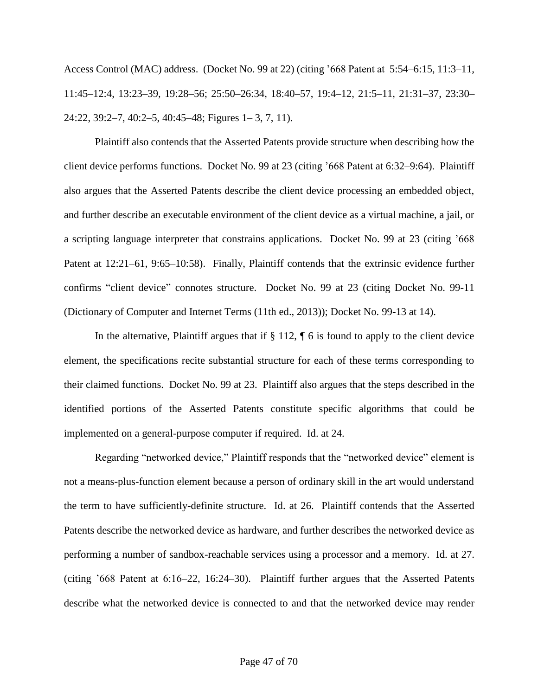Access Control (MAC) address. (Docket No. 99 at 22) (citing '668 Patent at 5:54–6:15, 11:3–11, 11:45–12:4, 13:23–39, 19:28–56; 25:50–26:34, 18:40–57, 19:4–12, 21:5–11, 21:31–37, 23:30– 24:22, 39:2–7, 40:2–5, 40:45–48; Figures 1– 3, 7, 11).

Plaintiff also contends that the Asserted Patents provide structure when describing how the client device performs functions. Docket No. 99 at 23 (citing '668 Patent at 6:32–9:64). Plaintiff also argues that the Asserted Patents describe the client device processing an embedded object, and further describe an executable environment of the client device as a virtual machine, a jail, or a scripting language interpreter that constrains applications. Docket No. 99 at 23 (citing '668 Patent at 12:21–61, 9:65–10:58). Finally, Plaintiff contends that the extrinsic evidence further confirms "client device" connotes structure. Docket No. 99 at 23 (citing Docket No. 99-11 (Dictionary of Computer and Internet Terms (11th ed., 2013)); Docket No. 99-13 at 14).

In the alternative, Plaintiff argues that if  $\S 112$ ,  $\P 6$  is found to apply to the client device element, the specifications recite substantial structure for each of these terms corresponding to their claimed functions. Docket No. 99 at 23. Plaintiff also argues that the steps described in the identified portions of the Asserted Patents constitute specific algorithms that could be implemented on a general-purpose computer if required. Id. at 24.

Regarding "networked device," Plaintiff responds that the "networked device" element is not a means-plus-function element because a person of ordinary skill in the art would understand the term to have sufficiently-definite structure. Id. at 26. Plaintiff contends that the Asserted Patents describe the networked device as hardware, and further describes the networked device as performing a number of sandbox-reachable services using a processor and a memory. Id. at 27. (citing '668 Patent at 6:16–22, 16:24–30). Plaintiff further argues that the Asserted Patents describe what the networked device is connected to and that the networked device may render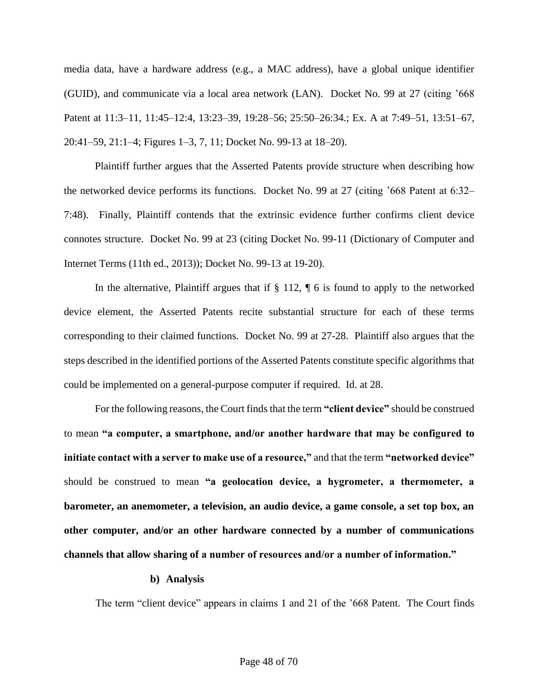media data, have a hardware address (e.g., a MAC address), have a global unique identifier (GUID), and communicate via a local area network (LAN). Docket No. 99 at 27 (citing '668 Patent at 11:3–11, 11:45–12:4, 13:23–39, 19:28–56; 25:50–26:34.; Ex. A at 7:49–51, 13:51–67, 20:41–59, 21:1–4; Figures 1–3, 7, 11; Docket No. 99-13 at 18–20).

Plaintiff further argues that the Asserted Patents provide structure when describing how the networked device performs its functions. Docket No. 99 at 27 (citing '668 Patent at 6:32– 7:48). Finally, Plaintiff contends that the extrinsic evidence further confirms client device connotes structure. Docket No. 99 at 23 (citing Docket No. 99-11 (Dictionary of Computer and Internet Terms (11th ed., 2013)); Docket No. 99-13 at 19-20).

In the alternative, Plaintiff argues that if  $\S 112$ ,  $\P 6$  is found to apply to the networked device element, the Asserted Patents recite substantial structure for each of these terms corresponding to their claimed functions. Docket No. 99 at 27-28. Plaintiff also argues that the steps described in the identified portions of the Asserted Patents constitute specific algorithms that could be implemented on a general-purpose computer if required. Id. at 28.

For the following reasons, the Court finds that the term **"client device"** should be construed to mean **"a computer, a smartphone, and/or another hardware that may be configured to initiate contact with a server to make use of a resource,"** and that the term **"networked device"** should be construed to mean **"a geolocation device, a hygrometer, a thermometer, a barometer, an anemometer, a television, an audio device, a game console, a set top box, an other computer, and/or an other hardware connected by a number of communications channels that allow sharing of a number of resources and/or a number of information."**

#### **b) Analysis**

The term "client device" appears in claims 1 and 21 of the '668 Patent. The Court finds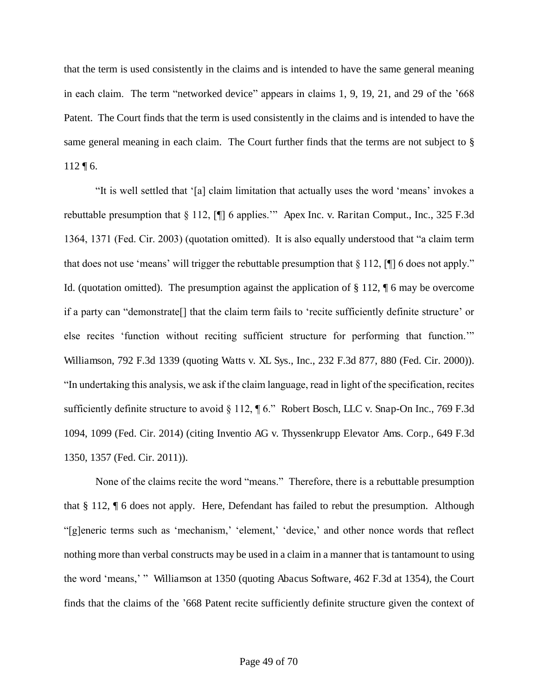that the term is used consistently in the claims and is intended to have the same general meaning in each claim. The term "networked device" appears in claims 1, 9, 19, 21, and 29 of the '668 Patent. The Court finds that the term is used consistently in the claims and is intended to have the same general meaning in each claim. The Court further finds that the terms are not subject to §  $112 \text{ } \text{T} 6.$ 

"It is well settled that '[a] claim limitation that actually uses the word 'means' invokes a rebuttable presumption that § 112, [¶] 6 applies.'" Apex Inc. v. Raritan Comput., Inc., 325 F.3d 1364, 1371 (Fed. Cir. 2003) (quotation omitted). It is also equally understood that "a claim term that does not use 'means' will trigger the rebuttable presumption that  $\S 112$ , [ $\P$ ] 6 does not apply." Id. (quotation omitted). The presumption against the application of § 112, ¶ 6 may be overcome if a party can "demonstrate[] that the claim term fails to 'recite sufficiently definite structure' or else recites 'function without reciting sufficient structure for performing that function.'" Williamson, 792 F.3d 1339 (quoting Watts v. XL Sys., Inc., 232 F.3d 877, 880 (Fed. Cir. 2000)). "In undertaking this analysis, we ask if the claim language, read in light of the specification, recites sufficiently definite structure to avoid § 112, ¶ 6." Robert Bosch, LLC v. Snap-On Inc., 769 F.3d 1094, 1099 (Fed. Cir. 2014) (citing Inventio AG v. Thyssenkrupp Elevator Ams. Corp., 649 F.3d 1350, 1357 (Fed. Cir. 2011)).

None of the claims recite the word "means." Therefore, there is a rebuttable presumption that § 112, ¶ 6 does not apply. Here, Defendant has failed to rebut the presumption. Although "[g]eneric terms such as 'mechanism,' 'element,' 'device,' and other nonce words that reflect nothing more than verbal constructs may be used in a claim in a manner that is tantamount to using the word 'means,' " Williamson at 1350 (quoting Abacus Software, 462 F.3d at 1354), the Court finds that the claims of the '668 Patent recite sufficiently definite structure given the context of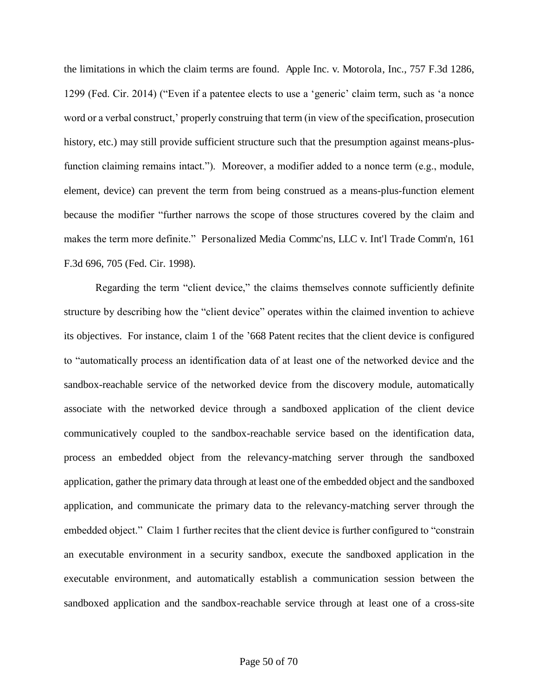the limitations in which the claim terms are found. Apple Inc. v. Motorola, Inc., 757 F.3d 1286, 1299 (Fed. Cir. 2014) ("Even if a patentee elects to use a 'generic' claim term, such as 'a nonce word or a verbal construct,' properly construing that term (in view of the specification, prosecution history, etc.) may still provide sufficient structure such that the presumption against means-plusfunction claiming remains intact."). Moreover, a modifier added to a nonce term (e.g., module, element, device) can prevent the term from being construed as a means-plus-function element because the modifier "further narrows the scope of those structures covered by the claim and makes the term more definite." Personalized Media Commc'ns, LLC v. Int'l Trade Comm'n, 161 F.3d 696, 705 (Fed. Cir. 1998).

Regarding the term "client device," the claims themselves connote sufficiently definite structure by describing how the "client device" operates within the claimed invention to achieve its objectives. For instance, claim 1 of the '668 Patent recites that the client device is configured to "automatically process an identification data of at least one of the networked device and the sandbox-reachable service of the networked device from the discovery module, automatically associate with the networked device through a sandboxed application of the client device communicatively coupled to the sandbox-reachable service based on the identification data, process an embedded object from the relevancy-matching server through the sandboxed application, gather the primary data through at least one of the embedded object and the sandboxed application, and communicate the primary data to the relevancy-matching server through the embedded object." Claim 1 further recites that the client device is further configured to "constrain an executable environment in a security sandbox, execute the sandboxed application in the executable environment, and automatically establish a communication session between the sandboxed application and the sandbox-reachable service through at least one of a cross-site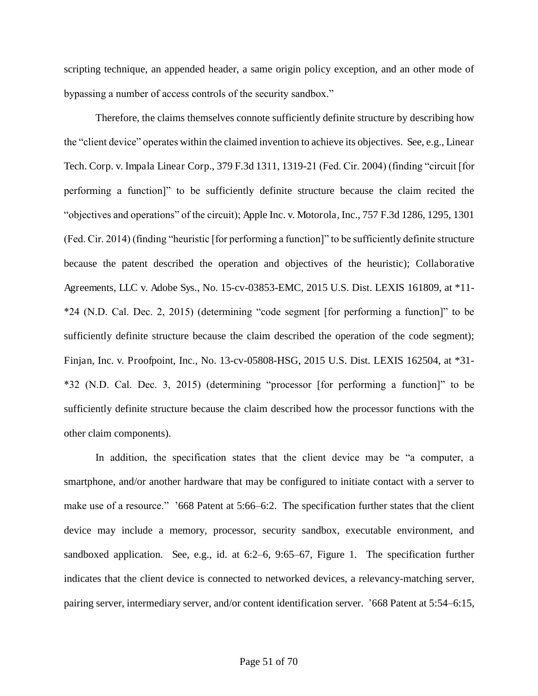scripting technique, an appended header, a same origin policy exception, and an other mode of bypassing a number of access controls of the security sandbox."

Therefore, the claims themselves connote sufficiently definite structure by describing how the "client device" operates within the claimed invention to achieve its objectives. See, e.g., Linear Tech. Corp. v. Impala Linear Corp., 379 F.3d 1311, 1319-21 (Fed. Cir. 2004) (finding "circuit [for performing a function]" to be sufficiently definite structure because the claim recited the "objectives and operations" of the circuit); Apple Inc. v. Motorola, Inc., 757 F.3d 1286, 1295, 1301 (Fed. Cir. 2014) (finding "heuristic [for performing a function]" to be sufficiently definite structure because the patent described the operation and objectives of the heuristic); Collaborative Agreements, LLC v. Adobe Sys., No. 15-cv-03853-EMC, 2015 U.S. Dist. LEXIS 161809, at \*11- \*24 (N.D. Cal. Dec. 2, 2015) (determining "code segment [for performing a function]" to be sufficiently definite structure because the claim described the operation of the code segment); Finjan, Inc. v. Proofpoint, Inc., No. 13-cv-05808-HSG, 2015 U.S. Dist. LEXIS 162504, at \*31- \*32 (N.D. Cal. Dec. 3, 2015) (determining "processor [for performing a function]" to be sufficiently definite structure because the claim described how the processor functions with the other claim components).

In addition, the specification states that the client device may be "a computer, a smartphone, and/or another hardware that may be configured to initiate contact with a server to make use of a resource." '668 Patent at 5:66–6:2. The specification further states that the client device may include a memory, processor, security sandbox, executable environment, and sandboxed application. See, e.g., id. at 6:2–6, 9:65–67, Figure 1. The specification further indicates that the client device is connected to networked devices, a relevancy-matching server, pairing server, intermediary server, and/or content identification server. '668 Patent at 5:54–6:15,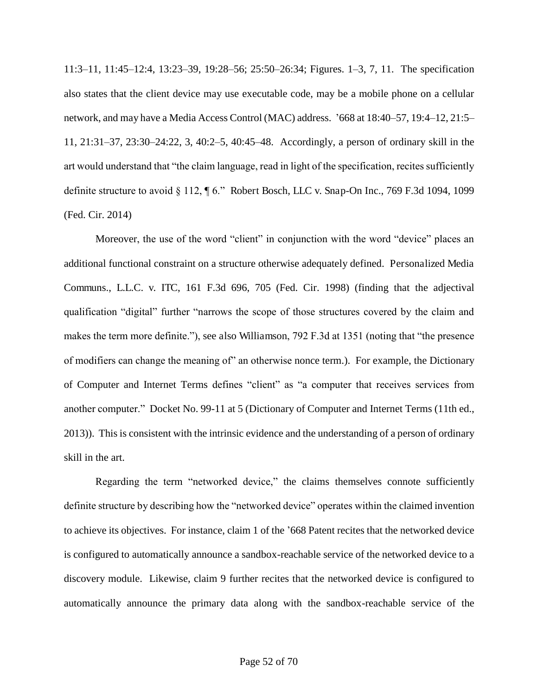11:3–11, 11:45–12:4, 13:23–39, 19:28–56; 25:50–26:34; Figures. 1–3, 7, 11. The specification also states that the client device may use executable code, may be a mobile phone on a cellular network, and may have a Media Access Control (MAC) address. '668 at 18:40–57, 19:4–12, 21:5– 11, 21:31–37, 23:30–24:22, 3, 40:2–5, 40:45–48. Accordingly, a person of ordinary skill in the art would understand that "the claim language, read in light of the specification, recites sufficiently definite structure to avoid § 112, ¶ 6." Robert Bosch, LLC v. Snap-On Inc., 769 F.3d 1094, 1099 (Fed. Cir. 2014)

Moreover, the use of the word "client" in conjunction with the word "device" places an additional functional constraint on a structure otherwise adequately defined. Personalized Media Communs., L.L.C. v. ITC, 161 F.3d 696, 705 (Fed. Cir. 1998) (finding that the adjectival qualification "digital" further "narrows the scope of those structures covered by the claim and makes the term more definite."), see also Williamson, 792 F.3d at 1351 (noting that "the presence of modifiers can change the meaning of" an otherwise nonce term.). For example, the Dictionary of Computer and Internet Terms defines "client" as "a computer that receives services from another computer." Docket No. 99-11 at 5 (Dictionary of Computer and Internet Terms (11th ed., 2013)). This is consistent with the intrinsic evidence and the understanding of a person of ordinary skill in the art.

Regarding the term "networked device," the claims themselves connote sufficiently definite structure by describing how the "networked device" operates within the claimed invention to achieve its objectives. For instance, claim 1 of the '668 Patent recites that the networked device is configured to automatically announce a sandbox-reachable service of the networked device to a discovery module. Likewise, claim 9 further recites that the networked device is configured to automatically announce the primary data along with the sandbox-reachable service of the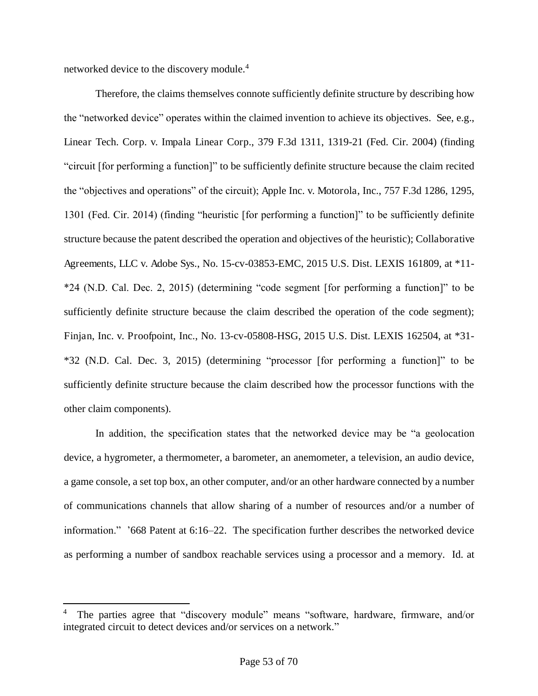networked device to the discovery module.<sup>4</sup>

 $\overline{a}$ 

Therefore, the claims themselves connote sufficiently definite structure by describing how the "networked device" operates within the claimed invention to achieve its objectives. See, e.g., Linear Tech. Corp. v. Impala Linear Corp., 379 F.3d 1311, 1319-21 (Fed. Cir. 2004) (finding "circuit [for performing a function]" to be sufficiently definite structure because the claim recited the "objectives and operations" of the circuit); Apple Inc. v. Motorola, Inc., 757 F.3d 1286, 1295, 1301 (Fed. Cir. 2014) (finding "heuristic [for performing a function]" to be sufficiently definite structure because the patent described the operation and objectives of the heuristic); Collaborative Agreements, LLC v. Adobe Sys., No. 15-cv-03853-EMC, 2015 U.S. Dist. LEXIS 161809, at \*11- \*24 (N.D. Cal. Dec. 2, 2015) (determining "code segment [for performing a function]" to be sufficiently definite structure because the claim described the operation of the code segment); Finjan, Inc. v. Proofpoint, Inc., No. 13-cv-05808-HSG, 2015 U.S. Dist. LEXIS 162504, at \*31- \*32 (N.D. Cal. Dec. 3, 2015) (determining "processor [for performing a function]" to be sufficiently definite structure because the claim described how the processor functions with the other claim components).

In addition, the specification states that the networked device may be "a geolocation device, a hygrometer, a thermometer, a barometer, an anemometer, a television, an audio device, a game console, a set top box, an other computer, and/or an other hardware connected by a number of communications channels that allow sharing of a number of resources and/or a number of information." '668 Patent at 6:16–22. The specification further describes the networked device as performing a number of sandbox reachable services using a processor and a memory. Id. at

<sup>4</sup> The parties agree that "discovery module" means "software, hardware, firmware, and/or integrated circuit to detect devices and/or services on a network."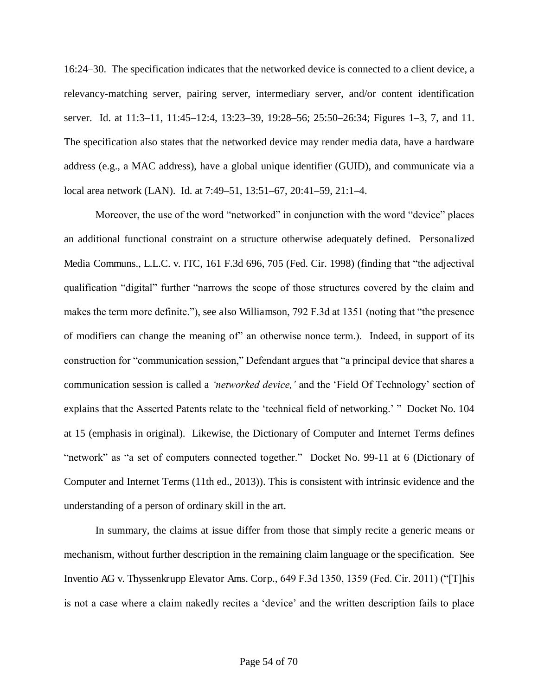16:24–30. The specification indicates that the networked device is connected to a client device, a relevancy-matching server, pairing server, intermediary server, and/or content identification server. Id. at 11:3–11, 11:45–12:4, 13:23–39, 19:28–56; 25:50–26:34; Figures 1–3, 7, and 11. The specification also states that the networked device may render media data, have a hardware address (e.g., a MAC address), have a global unique identifier (GUID), and communicate via a local area network (LAN). Id. at 7:49–51, 13:51–67, 20:41–59, 21:1–4.

Moreover, the use of the word "networked" in conjunction with the word "device" places an additional functional constraint on a structure otherwise adequately defined. Personalized Media Communs., L.L.C. v. ITC, 161 F.3d 696, 705 (Fed. Cir. 1998) (finding that "the adjectival qualification "digital" further "narrows the scope of those structures covered by the claim and makes the term more definite."), see also Williamson, 792 F.3d at 1351 (noting that "the presence of modifiers can change the meaning of" an otherwise nonce term.). Indeed, in support of its construction for "communication session," Defendant argues that "a principal device that shares a communication session is called a *'networked device,'* and the 'Field Of Technology' section of explains that the Asserted Patents relate to the 'technical field of networking.' " Docket No. 104 at 15 (emphasis in original). Likewise, the Dictionary of Computer and Internet Terms defines "network" as "a set of computers connected together." Docket No. 99-11 at 6 (Dictionary of Computer and Internet Terms (11th ed., 2013)). This is consistent with intrinsic evidence and the understanding of a person of ordinary skill in the art.

In summary, the claims at issue differ from those that simply recite a generic means or mechanism, without further description in the remaining claim language or the specification. See Inventio AG v. Thyssenkrupp Elevator Ams. Corp., 649 F.3d 1350, 1359 (Fed. Cir. 2011) ("[T]his is not a case where a claim nakedly recites a 'device' and the written description fails to place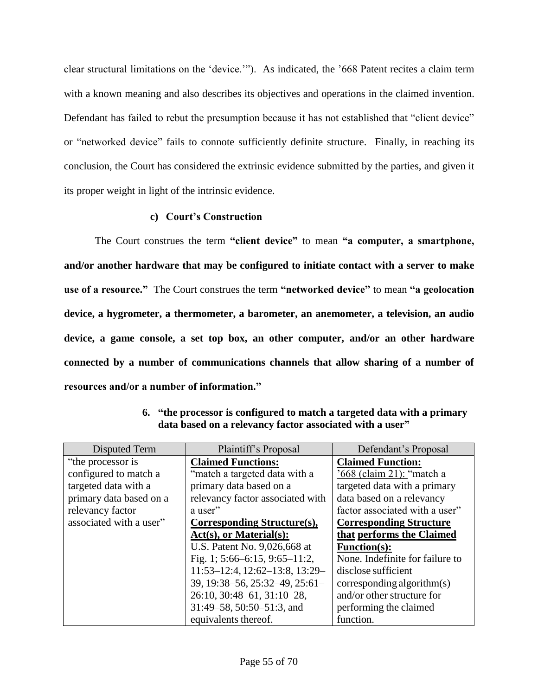clear structural limitations on the 'device.'"). As indicated, the '668 Patent recites a claim term with a known meaning and also describes its objectives and operations in the claimed invention. Defendant has failed to rebut the presumption because it has not established that "client device" or "networked device" fails to connote sufficiently definite structure. Finally, in reaching its conclusion, the Court has considered the extrinsic evidence submitted by the parties, and given it its proper weight in light of the intrinsic evidence.

### **c) Court's Construction**

The Court construes the term **"client device"** to mean **"a computer, a smartphone, and/or another hardware that may be configured to initiate contact with a server to make use of a resource."** The Court construes the term **"networked device"** to mean **"a geolocation device, a hygrometer, a thermometer, a barometer, an anemometer, a television, an audio device, a game console, a set top box, an other computer, and/or an other hardware connected by a number of communications channels that allow sharing of a number of resources and/or a number of information."**

| Disputed Term           | Plaintiff's Proposal                   | Defendant's Proposal            |
|-------------------------|----------------------------------------|---------------------------------|
| "the processor is"      | <b>Claimed Functions:</b>              | <b>Claimed Function:</b>        |
| configured to match a   | "match a targeted data with a          | '668 (claim 21): "match a       |
| targeted data with a    | primary data based on a                | targeted data with a primary    |
| primary data based on a | relevancy factor associated with       | data based on a relevancy       |
| relevancy factor        | a user"                                | factor associated with a user"  |
| associated with a user" | Corresponding Structure(s),            | <b>Corresponding Structure</b>  |
|                         | $Act(s),$ or Material $(s)$ :          | that performs the Claimed       |
|                         | U.S. Patent No. 9,026,668 at           | <b>Function(s):</b>             |
|                         | Fig. 1; $5:66-6:15$ , $9:65-11:2$ ,    | None. Indefinite for failure to |
|                         | $11:53-12:4$ , $12:62-13:8$ , $13:29-$ | disclose sufficient             |
|                         | 39, 19:38–56, 25:32–49, 25:61–         | corresponding algorithm(s)      |
|                         | 26:10, 30:48-61, 31:10-28,             | and/or other structure for      |
|                         | 31:49–58, 50:50–51:3, and              | performing the claimed          |
|                         | equivalents thereof.                   | function.                       |

**6. "the processor is configured to match a targeted data with a primary data based on a relevancy factor associated with a user"**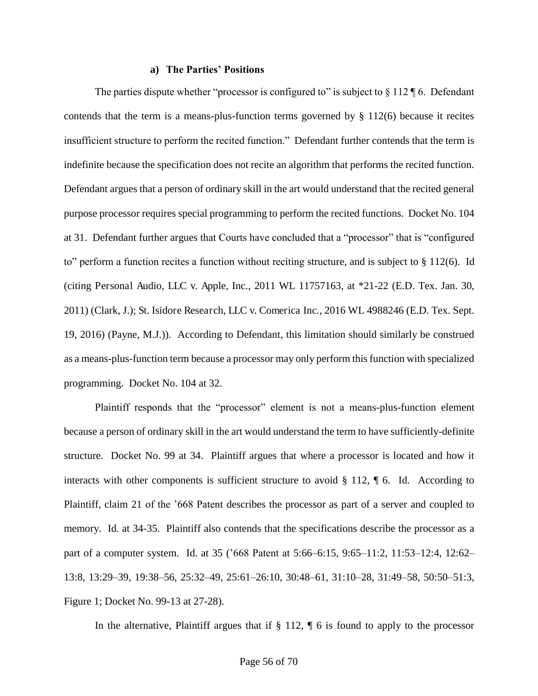#### **a) The Parties' Positions**

The parties dispute whether "processor is configured to" is subject to  $\S 112 \text{ }\mathsf{ }6$ . Defendant contends that the term is a means-plus-function terms governed by § 112(6) because it recites insufficient structure to perform the recited function." Defendant further contends that the term is indefinite because the specification does not recite an algorithm that performs the recited function. Defendant argues that a person of ordinary skill in the art would understand that the recited general purpose processor requires special programming to perform the recited functions. Docket No. 104 at 31. Defendant further argues that Courts have concluded that a "processor" that is "configured to" perform a function recites a function without reciting structure, and is subject to § 112(6). Id (citing Personal Audio, LLC v. Apple, Inc., 2011 WL 11757163, at \*21-22 (E.D. Tex. Jan. 30, 2011) (Clark, J.); St. Isidore Research, LLC v. Comerica Inc., 2016 WL 4988246 (E.D. Tex. Sept. 19, 2016) (Payne, M.J.)). According to Defendant, this limitation should similarly be construed as a means-plus-function term because a processor may only perform this function with specialized programming. Docket No. 104 at 32.

Plaintiff responds that the "processor" element is not a means-plus-function element because a person of ordinary skill in the art would understand the term to have sufficiently-definite structure. Docket No. 99 at 34. Plaintiff argues that where a processor is located and how it interacts with other components is sufficient structure to avoid  $\S 112$ ,  $\P 6$ . Id. According to Plaintiff, claim 21 of the '668 Patent describes the processor as part of a server and coupled to memory. Id. at 34-35. Plaintiff also contends that the specifications describe the processor as a part of a computer system. Id. at 35 ('668 Patent at 5:66–6:15, 9:65–11:2, 11:53–12:4, 12:62– 13:8, 13:29–39, 19:38–56, 25:32–49, 25:61–26:10, 30:48–61, 31:10–28, 31:49–58, 50:50–51:3, Figure 1; Docket No. 99-13 at 27-28).

In the alternative, Plaintiff argues that if  $\S 112$ ,  $\P 6$  is found to apply to the processor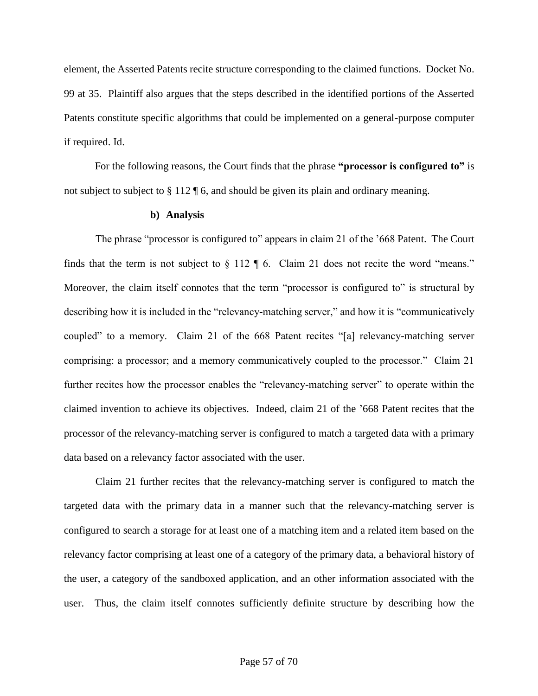element, the Asserted Patents recite structure corresponding to the claimed functions. Docket No. 99 at 35. Plaintiff also argues that the steps described in the identified portions of the Asserted Patents constitute specific algorithms that could be implemented on a general-purpose computer if required. Id.

For the following reasons, the Court finds that the phrase **"processor is configured to"** is not subject to subject to § 112 ¶ 6, and should be given its plain and ordinary meaning.

#### **b) Analysis**

The phrase "processor is configured to" appears in claim 21 of the '668 Patent. The Court finds that the term is not subject to  $\S 112 \P 6$ . Claim 21 does not recite the word "means." Moreover, the claim itself connotes that the term "processor is configured to" is structural by describing how it is included in the "relevancy-matching server," and how it is "communicatively coupled" to a memory. Claim 21 of the 668 Patent recites "[a] relevancy-matching server comprising: a processor; and a memory communicatively coupled to the processor." Claim 21 further recites how the processor enables the "relevancy-matching server" to operate within the claimed invention to achieve its objectives. Indeed, claim 21 of the '668 Patent recites that the processor of the relevancy-matching server is configured to match a targeted data with a primary data based on a relevancy factor associated with the user.

Claim 21 further recites that the relevancy-matching server is configured to match the targeted data with the primary data in a manner such that the relevancy-matching server is configured to search a storage for at least one of a matching item and a related item based on the relevancy factor comprising at least one of a category of the primary data, a behavioral history of the user, a category of the sandboxed application, and an other information associated with the user. Thus, the claim itself connotes sufficiently definite structure by describing how the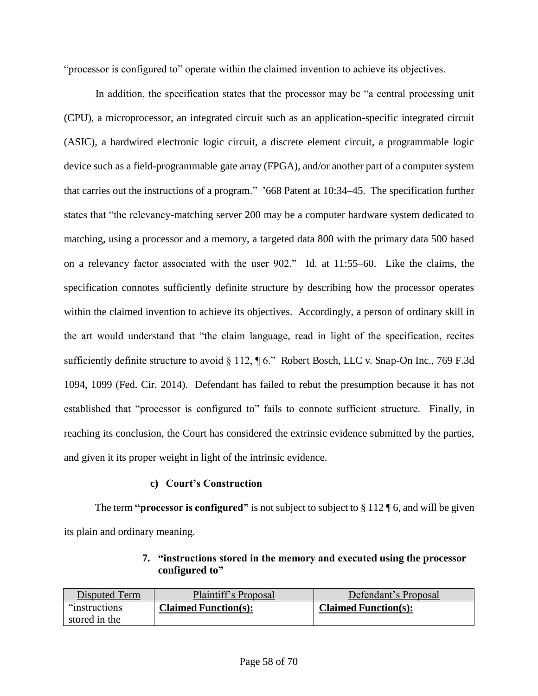"processor is configured to" operate within the claimed invention to achieve its objectives.

In addition, the specification states that the processor may be "a central processing unit (CPU), a microprocessor, an integrated circuit such as an application-specific integrated circuit (ASIC), a hardwired electronic logic circuit, a discrete element circuit, a programmable logic device such as a field-programmable gate array (FPGA), and/or another part of a computer system that carries out the instructions of a program." '668 Patent at 10:34–45. The specification further states that "the relevancy-matching server 200 may be a computer hardware system dedicated to matching, using a processor and a memory, a targeted data 800 with the primary data 500 based on a relevancy factor associated with the user 902." Id. at 11:55–60. Like the claims, the specification connotes sufficiently definite structure by describing how the processor operates within the claimed invention to achieve its objectives. Accordingly, a person of ordinary skill in the art would understand that "the claim language, read in light of the specification, recites sufficiently definite structure to avoid § 112, ¶ 6." Robert Bosch, LLC v. Snap-On Inc., 769 F.3d 1094, 1099 (Fed. Cir. 2014). Defendant has failed to rebut the presumption because it has not established that "processor is configured to" fails to connote sufficient structure. Finally, in reaching its conclusion, the Court has considered the extrinsic evidence submitted by the parties, and given it its proper weight in light of the intrinsic evidence.

## **c) Court's Construction**

The term **"processor is configured"** is not subject to subject to § 112 \ 6, and will be given its plain and ordinary meaning.

## **7. "instructions stored in the memory and executed using the processor configured to"**

| Disputed Term  | Plaintiff's Proposal        | Defendant's Proposal        |
|----------------|-----------------------------|-----------------------------|
| "instructions" | <b>Claimed Function(s):</b> | <b>Claimed Function(s):</b> |
| stored in the  |                             |                             |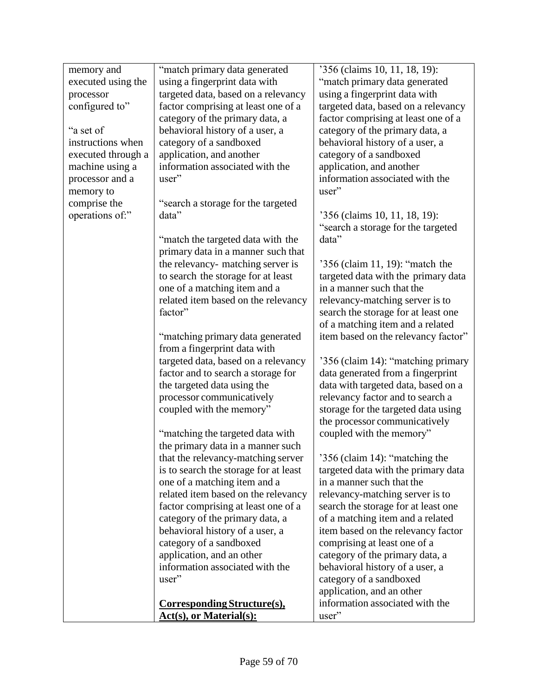| memory and         | "match primary data generated         | '356 (claims 10, 11, 18, 19):       |
|--------------------|---------------------------------------|-------------------------------------|
| executed using the | using a fingerprint data with         | "match primary data generated       |
| processor          | targeted data, based on a relevancy   | using a fingerprint data with       |
| configured to"     | factor comprising at least one of a   | targeted data, based on a relevancy |
|                    | category of the primary data, a       | factor comprising at least one of a |
| "a set of          | behavioral history of a user, a       | category of the primary data, a     |
| instructions when  | category of a sandboxed               | behavioral history of a user, a     |
| executed through a | application, and another              | category of a sandboxed             |
| machine using a    | information associated with the       | application, and another            |
| processor and a    | user"                                 | information associated with the     |
| memory to          |                                       | user"                               |
| comprise the       | "search a storage for the targeted    |                                     |
| operations of:"    | data"                                 | '356 (claims 10, 11, 18, 19):       |
|                    |                                       | "search a storage for the targeted  |
|                    | "match the targeted data with the     | data"                               |
|                    | primary data in a manner such that    |                                     |
|                    | the relevancy- matching server is     | '356 (claim 11, 19): "match the     |
|                    | to search the storage for at least    | targeted data with the primary data |
|                    | one of a matching item and a          | in a manner such that the           |
|                    | related item based on the relevancy   | relevancy-matching server is to     |
|                    | factor"                               | search the storage for at least one |
|                    |                                       | of a matching item and a related    |
|                    | "matching primary data generated      | item based on the relevancy factor" |
|                    | from a fingerprint data with          |                                     |
|                    | targeted data, based on a relevancy   | '356 (claim 14): "matching primary  |
|                    | factor and to search a storage for    | data generated from a fingerprint   |
|                    | the targeted data using the           | data with targeted data, based on a |
|                    | processor communicatively             | relevancy factor and to search a    |
|                    | coupled with the memory"              | storage for the targeted data using |
|                    |                                       | the processor communicatively       |
|                    | "matching the targeted data with      | coupled with the memory"            |
|                    | the primary data in a manner such     |                                     |
|                    | that the relevancy-matching server    | 356 (claim 14): "matching the       |
|                    | is to search the storage for at least | targeted data with the primary data |
|                    | one of a matching item and a          | in a manner such that the           |
|                    | related item based on the relevancy   | relevancy-matching server is to     |
|                    | factor comprising at least one of a   | search the storage for at least one |
|                    | category of the primary data, a       | of a matching item and a related    |
|                    | behavioral history of a user, a       | item based on the relevancy factor  |
|                    | category of a sandboxed               | comprising at least one of a        |
|                    | application, and an other             | category of the primary data, a     |
|                    | information associated with the       | behavioral history of a user, a     |
|                    | user"                                 | category of a sandboxed             |
|                    |                                       | application, and an other           |
|                    | Corresponding Structure(s),           | information associated with the     |
|                    | <b>Act(s), or Material(s):</b>        | user"                               |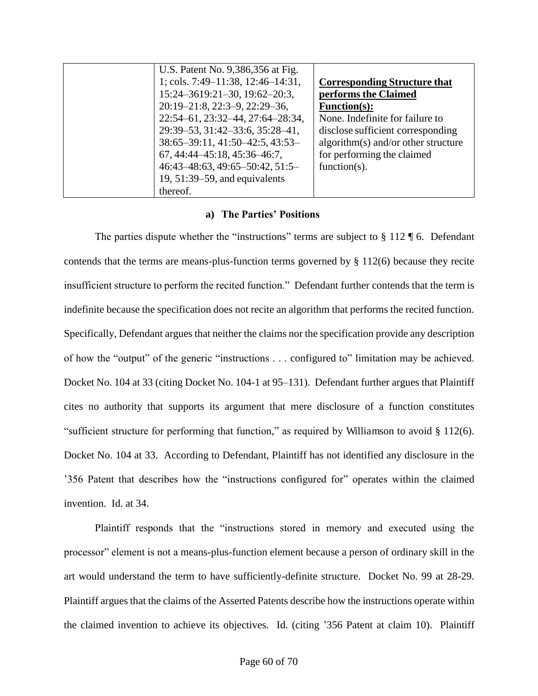| U.S. Patent No. 9,386,356 at Fig. |                                     |
|-----------------------------------|-------------------------------------|
| 1; cols. 7:49-11:38, 12:46-14:31, | <b>Corresponding Structure that</b> |
| 15:24-3619:21-30, 19:62-20:3,     | performs the Claimed                |
| 20:19-21:8, 22:3-9, 22:29-36,     | <b>Function(s):</b>                 |
| 22:54-61, 23:32-44, 27:64-28:34,  | None. Indefinite for failure to     |
| 29:39-53, 31:42-33:6, 35:28-41,   | disclose sufficient corresponding   |
| 38:65-39:11, 41:50-42:5, 43:53-   | algorithm(s) and/or other structure |
| 67, 44:44–45:18, 45:36–46:7,      | for performing the claimed          |
| $46:43-48:63, 49:65-50:42, 51:5-$ | function( $s$ ).                    |
| 19, $51:39-59$ , and equivalents  |                                     |
| thereof.                          |                                     |

#### **a) The Parties' Positions**

The parties dispute whether the "instructions" terms are subject to  $\S 112 \text{ T}$  6. Defendant contends that the terms are means-plus-function terms governed by § 112(6) because they recite insufficient structure to perform the recited function." Defendant further contends that the term is indefinite because the specification does not recite an algorithm that performs the recited function. Specifically, Defendant argues that neither the claims nor the specification provide any description of how the "output" of the generic "instructions . . . configured to" limitation may be achieved. Docket No. 104 at 33 (citing Docket No. 104-1 at 95–131). Defendant further argues that Plaintiff cites no authority that supports its argument that mere disclosure of a function constitutes "sufficient structure for performing that function," as required by Williamson to avoid § 112(6). Docket No. 104 at 33. According to Defendant, Plaintiff has not identified any disclosure in the '356 Patent that describes how the "instructions configured for" operates within the claimed invention. Id. at 34.

Plaintiff responds that the "instructions stored in memory and executed using the processor" element is not a means-plus-function element because a person of ordinary skill in the art would understand the term to have sufficiently-definite structure. Docket No. 99 at 28-29. Plaintiff argues that the claims of the Asserted Patents describe how the instructions operate within the claimed invention to achieve its objectives. Id. (citing '356 Patent at claim 10). Plaintiff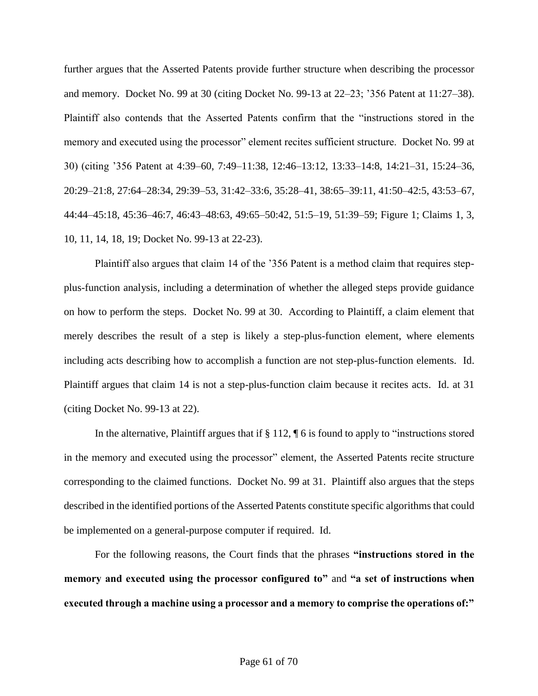further argues that the Asserted Patents provide further structure when describing the processor and memory. Docket No. 99 at 30 (citing Docket No. 99-13 at 22–23; '356 Patent at 11:27–38). Plaintiff also contends that the Asserted Patents confirm that the "instructions stored in the memory and executed using the processor" element recites sufficient structure. Docket No. 99 at 30) (citing '356 Patent at 4:39–60, 7:49–11:38, 12:46–13:12, 13:33–14:8, 14:21–31, 15:24–36, 20:29–21:8, 27:64–28:34, 29:39–53, 31:42–33:6, 35:28–41, 38:65–39:11, 41:50–42:5, 43:53–67, 44:44–45:18, 45:36–46:7, 46:43–48:63, 49:65–50:42, 51:5–19, 51:39–59; Figure 1; Claims 1, 3, 10, 11, 14, 18, 19; Docket No. 99-13 at 22-23).

Plaintiff also argues that claim 14 of the '356 Patent is a method claim that requires stepplus-function analysis, including a determination of whether the alleged steps provide guidance on how to perform the steps. Docket No. 99 at 30. According to Plaintiff, a claim element that merely describes the result of a step is likely a step-plus-function element, where elements including acts describing how to accomplish a function are not step-plus-function elements. Id. Plaintiff argues that claim 14 is not a step-plus-function claim because it recites acts. Id. at 31 (citing Docket No. 99-13 at 22).

In the alternative, Plaintiff argues that if  $\S 112$ ,  $\P 6$  is found to apply to "instructions stored in the memory and executed using the processor" element, the Asserted Patents recite structure corresponding to the claimed functions. Docket No. 99 at 31. Plaintiff also argues that the steps described in the identified portions of the Asserted Patents constitute specific algorithms that could be implemented on a general-purpose computer if required. Id.

For the following reasons, the Court finds that the phrases **"instructions stored in the memory and executed using the processor configured to"** and **"a set of instructions when executed through a machine using a processor and a memory to comprise the operations of:"**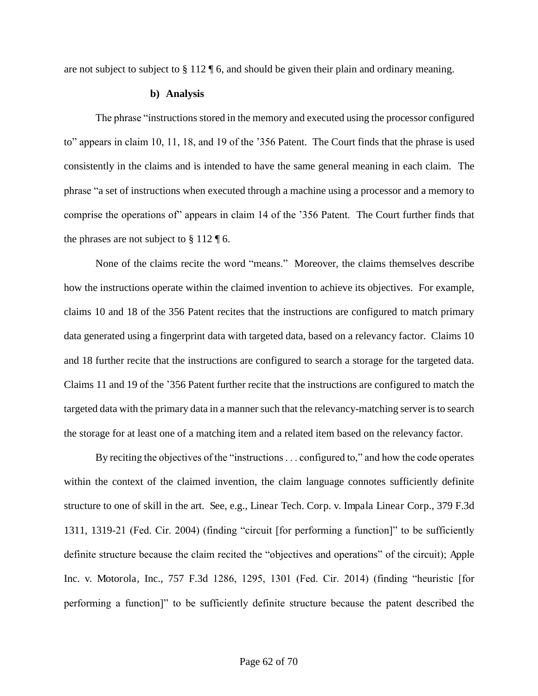are not subject to subject to § 112 ¶ 6, and should be given their plain and ordinary meaning.

#### **b) Analysis**

The phrase "instructions stored in the memory and executed using the processor configured to" appears in claim 10, 11, 18, and 19 of the '356 Patent. The Court finds that the phrase is used consistently in the claims and is intended to have the same general meaning in each claim. The phrase "a set of instructions when executed through a machine using a processor and a memory to comprise the operations of" appears in claim 14 of the '356 Patent. The Court further finds that the phrases are not subject to  $\S 112 \text{ }\mathsf{F}$  6.

None of the claims recite the word "means." Moreover, the claims themselves describe how the instructions operate within the claimed invention to achieve its objectives. For example, claims 10 and 18 of the 356 Patent recites that the instructions are configured to match primary data generated using a fingerprint data with targeted data, based on a relevancy factor. Claims 10 and 18 further recite that the instructions are configured to search a storage for the targeted data. Claims 11 and 19 of the '356 Patent further recite that the instructions are configured to match the targeted data with the primary data in a manner such that the relevancy-matching server is to search the storage for at least one of a matching item and a related item based on the relevancy factor.

By reciting the objectives of the "instructions . . . configured to," and how the code operates within the context of the claimed invention, the claim language connotes sufficiently definite structure to one of skill in the art. See, e.g., Linear Tech. Corp. v. Impala Linear Corp., 379 F.3d 1311, 1319-21 (Fed. Cir. 2004) (finding "circuit [for performing a function]" to be sufficiently definite structure because the claim recited the "objectives and operations" of the circuit); Apple Inc. v. Motorola, Inc., 757 F.3d 1286, 1295, 1301 (Fed. Cir. 2014) (finding "heuristic [for performing a function]" to be sufficiently definite structure because the patent described the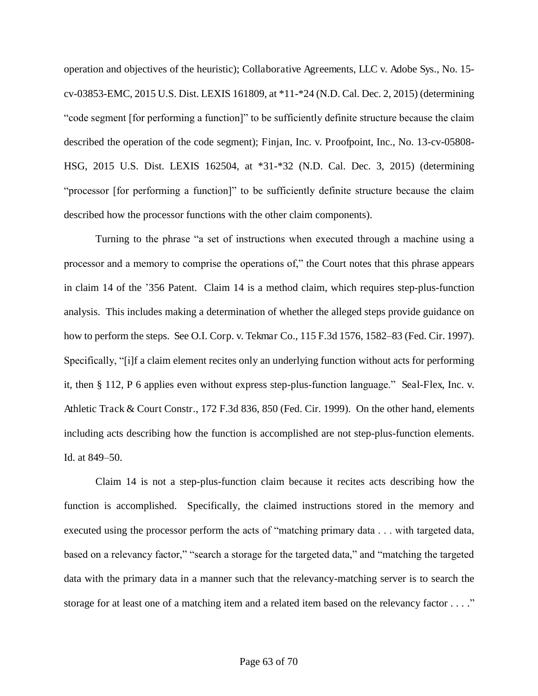operation and objectives of the heuristic); Collaborative Agreements, LLC v. Adobe Sys., No. 15 cv-03853-EMC, 2015 U.S. Dist. LEXIS 161809, at \*11-\*24 (N.D. Cal. Dec. 2, 2015) (determining "code segment [for performing a function]" to be sufficiently definite structure because the claim described the operation of the code segment); Finjan, Inc. v. Proofpoint, Inc., No. 13-cv-05808- HSG, 2015 U.S. Dist. LEXIS 162504, at \*31-\*32 (N.D. Cal. Dec. 3, 2015) (determining "processor [for performing a function]" to be sufficiently definite structure because the claim described how the processor functions with the other claim components).

Turning to the phrase "a set of instructions when executed through a machine using a processor and a memory to comprise the operations of," the Court notes that this phrase appears in claim 14 of the '356 Patent. Claim 14 is a method claim, which requires step-plus-function analysis. This includes making a determination of whether the alleged steps provide guidance on how to perform the steps. See O.I. Corp. v. Tekmar Co., 115 F.3d 1576, 1582–83 (Fed. Cir. 1997). Specifically, "[i]f a claim element recites only an underlying function without acts for performing it, then § 112, P 6 applies even without express step-plus-function language." Seal-Flex, Inc. v. Athletic Track & Court Constr., 172 F.3d 836, 850 (Fed. Cir. 1999). On the other hand, elements including acts describing how the function is accomplished are not step-plus-function elements. Id. at 849–50.

Claim 14 is not a step-plus-function claim because it recites acts describing how the function is accomplished. Specifically, the claimed instructions stored in the memory and executed using the processor perform the acts of "matching primary data . . . with targeted data, based on a relevancy factor," "search a storage for the targeted data," and "matching the targeted data with the primary data in a manner such that the relevancy-matching server is to search the storage for at least one of a matching item and a related item based on the relevancy factor . . . ."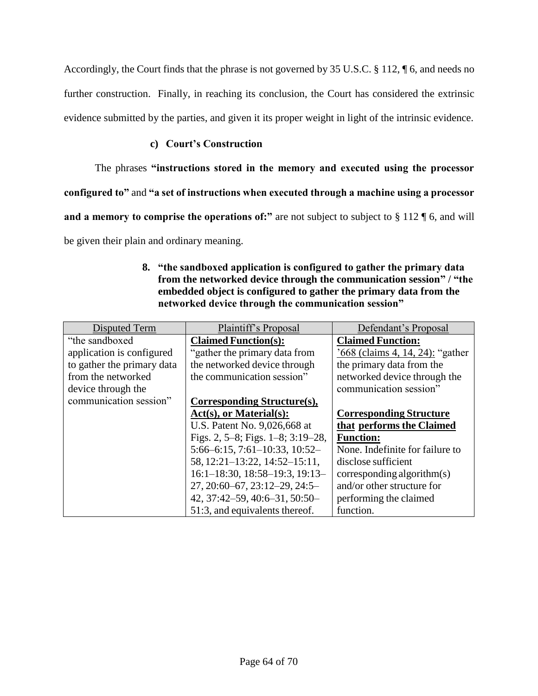Accordingly, the Court finds that the phrase is not governed by 35 U.S.C. § 112, ¶ 6, and needs no further construction. Finally, in reaching its conclusion, the Court has considered the extrinsic evidence submitted by the parties, and given it its proper weight in light of the intrinsic evidence.

## **c) Court's Construction**

The phrases **"instructions stored in the memory and executed using the processor** 

**configured to"** and **"a set of instructions when executed through a machine using a processor** 

**and a memory to comprise the operations of:"** are not subject to subject to § 112 ¶ 6, and will

be given their plain and ordinary meaning.

## **8. "the sandboxed application is configured to gather the primary data from the networked device through the communication session" / "the embedded object is configured to gather the primary data from the networked device through the communication session"**

| Disputed Term              | Plaintiff's Proposal                       | Defendant's Proposal             |
|----------------------------|--------------------------------------------|----------------------------------|
| "the sandboxed"            | <b>Claimed Function(s):</b>                | <b>Claimed Function:</b>         |
| application is configured  | "gather the primary data from              | '668 (claims 4, 14, 24): "gather |
| to gather the primary data | the networked device through               | the primary data from the        |
| from the networked         | the communication session"                 | networked device through the     |
| device through the         |                                            | communication session"           |
| communication session"     | Corresponding Structure(s),                |                                  |
|                            | $Act(s),$ or Material $(s)$ :              | <b>Corresponding Structure</b>   |
|                            | U.S. Patent No. 9,026,668 at               | that performs the Claimed        |
|                            | Figs. 2, $5-8$ ; Figs. $1-8$ ; $3:19-28$ , | <b>Function:</b>                 |
|                            | $5:66-6:15$ , $7:61-10:33$ , $10:52-$      | None. Indefinite for failure to  |
|                            | 58, 12:21-13:22, 14:52-15:11,              | disclose sufficient              |
|                            | $16:1-18:30$ , $18:58-19:3$ , $19:13-$     | corresponding algorithm(s)       |
|                            | $27, 20:60 - 67, 23:12 - 29, 24:5 -$       | and/or other structure for       |
|                            | 42, 37:42-59, 40:6-31, 50:50-              | performing the claimed           |
|                            | 51:3, and equivalents thereof.             | function.                        |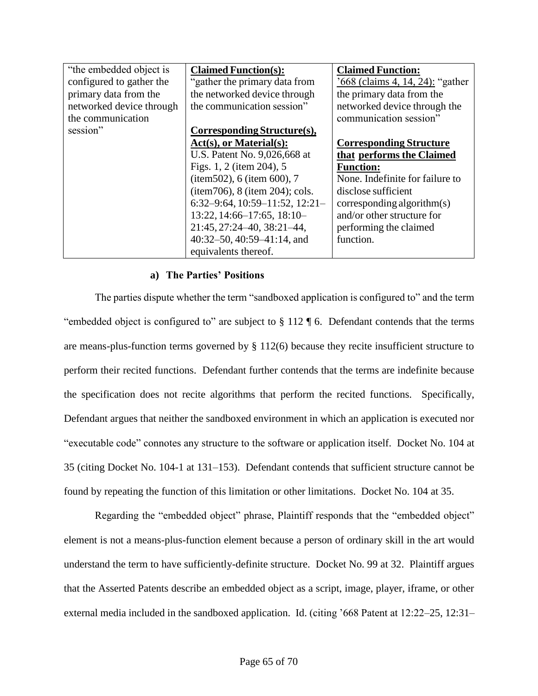| "the embedded object is" | <b>Claimed Function(s):</b>        | <b>Claimed Function:</b>         |
|--------------------------|------------------------------------|----------------------------------|
| configured to gather the | "gather the primary data from      | '668 (claims 4, 14, 24): "gather |
| primary data from the    | the networked device through       | the primary data from the        |
| networked device through | the communication session"         | networked device through the     |
| the communication        |                                    | communication session"           |
| session"                 | Corresponding Structure(s),        |                                  |
|                          | $Act(s),$ or Material $(s)$ :      | <b>Corresponding Structure</b>   |
|                          | U.S. Patent No. 9,026,668 at       | that performs the Claimed        |
|                          | Figs. 1, 2 (item 204), 5           | <b>Function:</b>                 |
|                          | (item502), 6 (item 600), 7         | None. Indefinite for failure to  |
|                          | $item706$ , 8 (item 204); cols.    | disclose sufficient              |
|                          | $6:32-9:64, 10:59-11:52, 12:21-$   | corresponding algorithm(s)       |
|                          | $13:22$ , $14:66-17:65$ , $18:10-$ | and/or other structure for       |
|                          | 21:45, 27:24-40, 38:21-44,         | performing the claimed           |
|                          | $40:32-50, 40:59-41:14,$ and       | function.                        |
|                          | equivalents thereof.               |                                  |

#### **a) The Parties' Positions**

The parties dispute whether the term "sandboxed application is configured to" and the term "embedded object is configured to" are subject to  $\S 112 \text{ T}$  6. Defendant contends that the terms are means-plus-function terms governed by § 112(6) because they recite insufficient structure to perform their recited functions. Defendant further contends that the terms are indefinite because the specification does not recite algorithms that perform the recited functions. Specifically, Defendant argues that neither the sandboxed environment in which an application is executed nor "executable code" connotes any structure to the software or application itself. Docket No. 104 at 35 (citing Docket No. 104-1 at 131–153). Defendant contends that sufficient structure cannot be found by repeating the function of this limitation or other limitations. Docket No. 104 at 35.

Regarding the "embedded object" phrase, Plaintiff responds that the "embedded object" element is not a means-plus-function element because a person of ordinary skill in the art would understand the term to have sufficiently-definite structure. Docket No. 99 at 32. Plaintiff argues that the Asserted Patents describe an embedded object as a script, image, player, iframe, or other external media included in the sandboxed application. Id. (citing '668 Patent at 12:22–25, 12:31–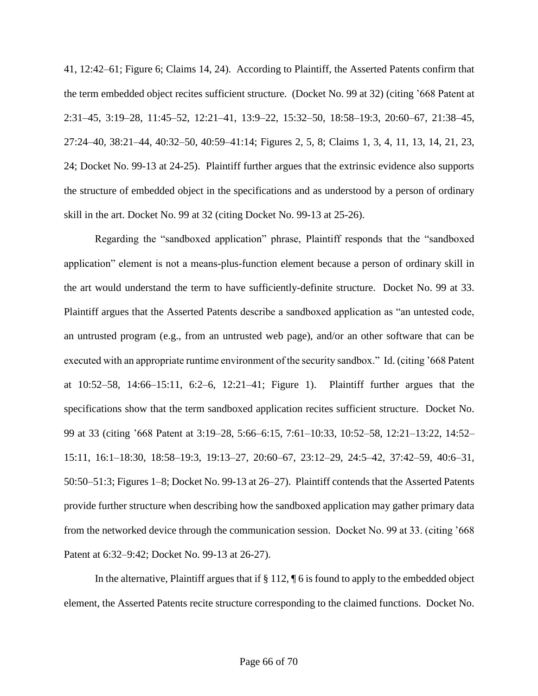41, 12:42–61; Figure 6; Claims 14, 24). According to Plaintiff, the Asserted Patents confirm that the term embedded object recites sufficient structure. (Docket No. 99 at 32) (citing '668 Patent at 2:31–45, 3:19–28, 11:45–52, 12:21–41, 13:9–22, 15:32–50, 18:58–19:3, 20:60–67, 21:38–45, 27:24–40, 38:21–44, 40:32–50, 40:59–41:14; Figures 2, 5, 8; Claims 1, 3, 4, 11, 13, 14, 21, 23, 24; Docket No. 99-13 at 24-25). Plaintiff further argues that the extrinsic evidence also supports the structure of embedded object in the specifications and as understood by a person of ordinary skill in the art. Docket No. 99 at 32 (citing Docket No. 99-13 at 25-26).

Regarding the "sandboxed application" phrase, Plaintiff responds that the "sandboxed application" element is not a means-plus-function element because a person of ordinary skill in the art would understand the term to have sufficiently-definite structure. Docket No. 99 at 33. Plaintiff argues that the Asserted Patents describe a sandboxed application as "an untested code, an untrusted program (e.g., from an untrusted web page), and/or an other software that can be executed with an appropriate runtime environment of the security sandbox." Id. (citing '668 Patent at 10:52–58, 14:66–15:11, 6:2–6, 12:21–41; Figure 1). Plaintiff further argues that the specifications show that the term sandboxed application recites sufficient structure. Docket No. 99 at 33 (citing '668 Patent at 3:19–28, 5:66–6:15, 7:61–10:33, 10:52–58, 12:21–13:22, 14:52– 15:11, 16:1–18:30, 18:58–19:3, 19:13–27, 20:60–67, 23:12–29, 24:5–42, 37:42–59, 40:6–31, 50:50–51:3; Figures 1–8; Docket No. 99-13 at 26–27). Plaintiff contends that the Asserted Patents provide further structure when describing how the sandboxed application may gather primary data from the networked device through the communication session. Docket No. 99 at 33. (citing '668 Patent at 6:32–9:42; Docket No. 99-13 at 26-27).

In the alternative, Plaintiff argues that if  $\S 112$ ,  $\P 6$  is found to apply to the embedded object element, the Asserted Patents recite structure corresponding to the claimed functions. Docket No.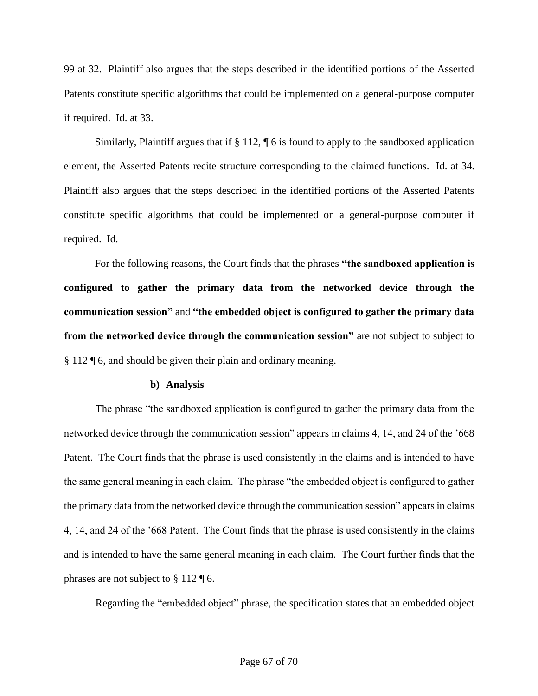99 at 32. Plaintiff also argues that the steps described in the identified portions of the Asserted Patents constitute specific algorithms that could be implemented on a general-purpose computer if required. Id. at 33.

Similarly, Plaintiff argues that if § 112, ¶ 6 is found to apply to the sandboxed application element, the Asserted Patents recite structure corresponding to the claimed functions. Id. at 34. Plaintiff also argues that the steps described in the identified portions of the Asserted Patents constitute specific algorithms that could be implemented on a general-purpose computer if required. Id.

For the following reasons, the Court finds that the phrases **"the sandboxed application is configured to gather the primary data from the networked device through the communication session"** and **"the embedded object is configured to gather the primary data from the networked device through the communication session"** are not subject to subject to § 112 ¶ 6, and should be given their plain and ordinary meaning.

#### **b) Analysis**

The phrase "the sandboxed application is configured to gather the primary data from the networked device through the communication session" appears in claims 4, 14, and 24 of the '668 Patent. The Court finds that the phrase is used consistently in the claims and is intended to have the same general meaning in each claim. The phrase "the embedded object is configured to gather the primary data from the networked device through the communication session" appears in claims 4, 14, and 24 of the '668 Patent. The Court finds that the phrase is used consistently in the claims and is intended to have the same general meaning in each claim. The Court further finds that the phrases are not subject to § 112 ¶ 6.

Regarding the "embedded object" phrase, the specification states that an embedded object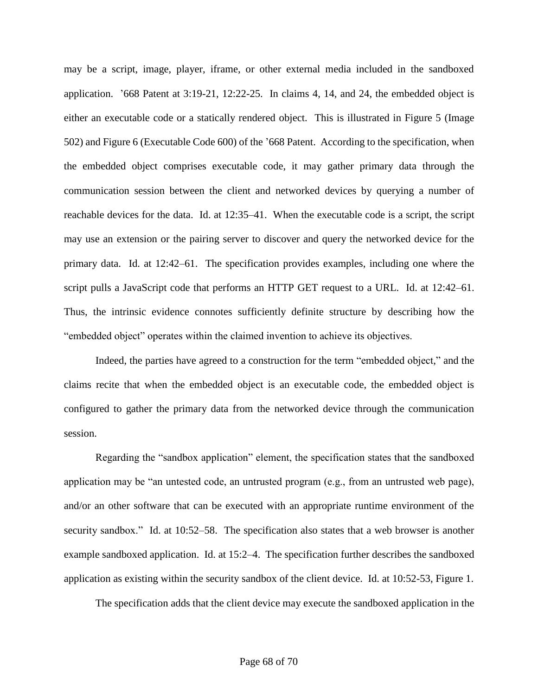may be a script, image, player, iframe, or other external media included in the sandboxed application. '668 Patent at 3:19-21, 12:22-25. In claims 4, 14, and 24, the embedded object is either an executable code or a statically rendered object. This is illustrated in Figure 5 (Image 502) and Figure 6 (Executable Code 600) of the '668 Patent. According to the specification, when the embedded object comprises executable code, it may gather primary data through the communication session between the client and networked devices by querying a number of reachable devices for the data. Id. at 12:35–41. When the executable code is a script, the script may use an extension or the pairing server to discover and query the networked device for the primary data. Id. at 12:42–61. The specification provides examples, including one where the script pulls a JavaScript code that performs an HTTP GET request to a URL. Id. at 12:42–61. Thus, the intrinsic evidence connotes sufficiently definite structure by describing how the "embedded object" operates within the claimed invention to achieve its objectives.

Indeed, the parties have agreed to a construction for the term "embedded object," and the claims recite that when the embedded object is an executable code, the embedded object is configured to gather the primary data from the networked device through the communication session.

Regarding the "sandbox application" element, the specification states that the sandboxed application may be "an untested code, an untrusted program (e.g., from an untrusted web page), and/or an other software that can be executed with an appropriate runtime environment of the security sandbox." Id. at 10:52–58. The specification also states that a web browser is another example sandboxed application. Id. at 15:2–4. The specification further describes the sandboxed application as existing within the security sandbox of the client device. Id. at 10:52-53, Figure 1.

The specification adds that the client device may execute the sandboxed application in the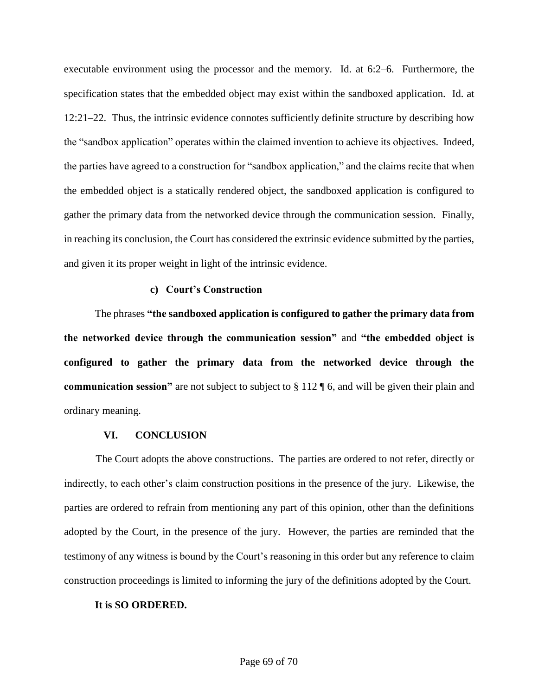executable environment using the processor and the memory. Id. at 6:2–6. Furthermore, the specification states that the embedded object may exist within the sandboxed application. Id. at 12:21–22. Thus, the intrinsic evidence connotes sufficiently definite structure by describing how the "sandbox application" operates within the claimed invention to achieve its objectives. Indeed, the parties have agreed to a construction for "sandbox application," and the claims recite that when the embedded object is a statically rendered object, the sandboxed application is configured to gather the primary data from the networked device through the communication session. Finally, in reaching its conclusion, the Court has considered the extrinsic evidence submitted by the parties, and given it its proper weight in light of the intrinsic evidence.

#### **c) Court's Construction**

The phrases **"the sandboxed application is configured to gather the primary data from the networked device through the communication session"** and **"the embedded object is configured to gather the primary data from the networked device through the communication session"** are not subject to subject to § 112 ¶ 6, and will be given their plain and ordinary meaning.

#### **VI. CONCLUSION**

The Court adopts the above constructions. The parties are ordered to not refer, directly or indirectly, to each other's claim construction positions in the presence of the jury. Likewise, the parties are ordered to refrain from mentioning any part of this opinion, other than the definitions adopted by the Court, in the presence of the jury. However, the parties are reminded that the testimony of any witness is bound by the Court's reasoning in this order but any reference to claim construction proceedings is limited to informing the jury of the definitions adopted by the Court.

#### **It is SO ORDERED.**